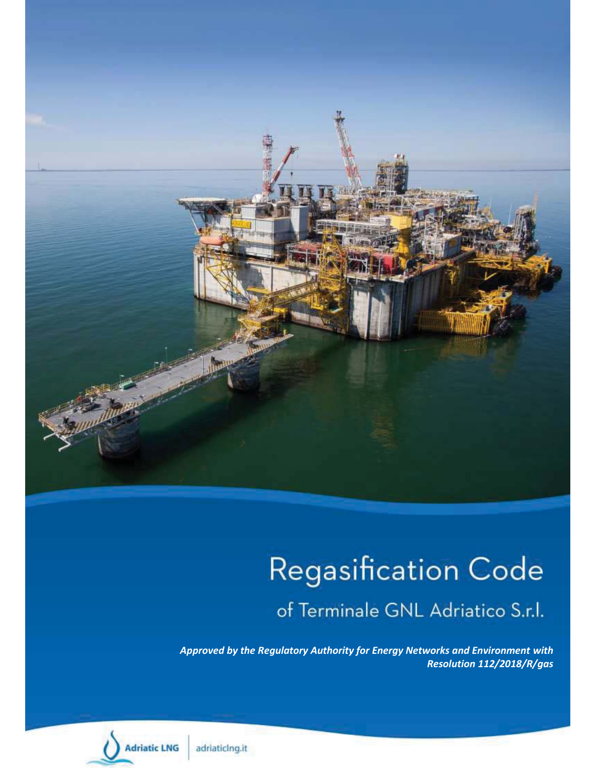

# **Regasification Code**

of Terminale GNL Adriatico S.r.l.

*Approved by the Regulatory Authority for Energy Networks and Environment with Resolution 112/2018/R/gas*

**Adriatic LNG** 

adriaticing.it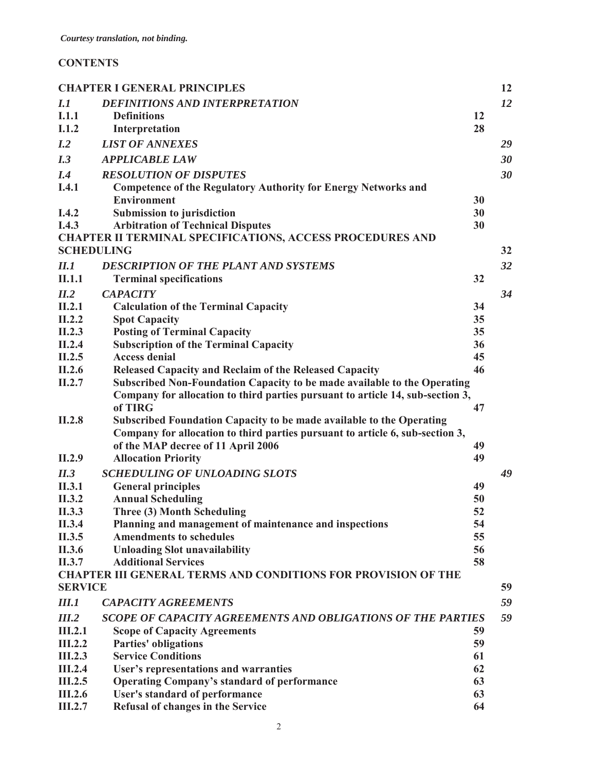# **CONTENTS**

|                   | <b>CHAPTER I GENERAL PRINCIPLES</b>                                            |    | 12 |
|-------------------|--------------------------------------------------------------------------------|----|----|
| I.1               | <b>DEFINITIONS AND INTERPRETATION</b>                                          |    | 12 |
| I.1.1             | <b>Definitions</b>                                                             | 12 |    |
| I.1.2             | Interpretation                                                                 | 28 |    |
| I.2               | <b>LIST OF ANNEXES</b>                                                         |    | 29 |
| I.3               | <b>APPLICABLE LAW</b>                                                          |    | 30 |
| I.4               | <b>RESOLUTION OF DISPUTES</b>                                                  |    | 30 |
| I.4.1             | <b>Competence of the Regulatory Authority for Energy Networks and</b>          |    |    |
|                   | <b>Environment</b>                                                             | 30 |    |
| I.4.2             | Submission to jurisdiction                                                     | 30 |    |
| I.4.3             | <b>Arbitration of Technical Disputes</b>                                       | 30 |    |
|                   | <b>CHAPTER II TERMINAL SPECIFICATIONS, ACCESS PROCEDURES AND</b>               |    |    |
| <b>SCHEDULING</b> |                                                                                |    | 32 |
| II.1              | <b>DESCRIPTION OF THE PLANT AND SYSTEMS</b>                                    |    | 32 |
| II.1.1            | <b>Terminal specifications</b>                                                 | 32 |    |
| II.2              | <b>CAPACITY</b>                                                                |    | 34 |
| II.2.1            | <b>Calculation of the Terminal Capacity</b>                                    | 34 |    |
| II.2.2            | <b>Spot Capacity</b>                                                           | 35 |    |
| II.2.3            | <b>Posting of Terminal Capacity</b>                                            | 35 |    |
| II.2.4            | <b>Subscription of the Terminal Capacity</b>                                   | 36 |    |
| II.2.5            | <b>Access denial</b>                                                           | 45 |    |
| II.2.6            | Released Capacity and Reclaim of the Released Capacity                         | 46 |    |
| II.2.7            | Subscribed Non-Foundation Capacity to be made available to the Operating       |    |    |
|                   | Company for allocation to third parties pursuant to article 14, sub-section 3, |    |    |
|                   | of TIRG                                                                        | 47 |    |
| II.2.8            | Subscribed Foundation Capacity to be made available to the Operating           |    |    |
|                   | Company for allocation to third parties pursuant to article 6, sub-section 3,  |    |    |
|                   | of the MAP decree of 11 April 2006                                             | 49 |    |
| II.2.9            | <b>Allocation Priority</b>                                                     | 49 |    |
| II.3              | <b>SCHEDULING OF UNLOADING SLOTS</b>                                           |    | 49 |
| II.3.1            | <b>General principles</b>                                                      | 49 |    |
| II.3.2            | <b>Annual Scheduling</b>                                                       | 50 |    |
| II.3.3            | Three (3) Month Scheduling                                                     | 52 |    |
| II.3.4            | Planning and management of maintenance and inspections                         | 54 |    |
| II.3.5            | <b>Amendments to schedules</b>                                                 | 55 |    |
| II.3.6            | <b>Unloading Slot unavailability</b>                                           | 56 |    |
| II.3.7            | <b>Additional Services</b>                                                     | 58 |    |
| <b>SERVICE</b>    | <b>CHAPTER III GENERAL TERMS AND CONDITIONS FOR PROVISION OF THE</b>           |    | 59 |
|                   |                                                                                |    |    |
| <b>III.1</b>      | <b>CAPACITY AGREEMENTS</b>                                                     |    | 59 |
| III.2             | <b>SCOPE OF CAPACITY AGREEMENTS AND OBLIGATIONS OF THE PARTIES</b>             |    | 59 |
| <b>III.2.1</b>    | <b>Scope of Capacity Agreements</b>                                            | 59 |    |
| <b>III.2.2</b>    | <b>Parties' obligations</b>                                                    | 59 |    |
| <b>III.2.3</b>    | <b>Service Conditions</b>                                                      | 61 |    |
| <b>III.2.4</b>    | User's representations and warranties                                          | 62 |    |
| <b>III.2.5</b>    | <b>Operating Company's standard of performance</b>                             | 63 |    |
| <b>III.2.6</b>    | <b>User's standard of performance</b>                                          | 63 |    |
| <b>III.2.7</b>    | Refusal of changes in the Service                                              | 64 |    |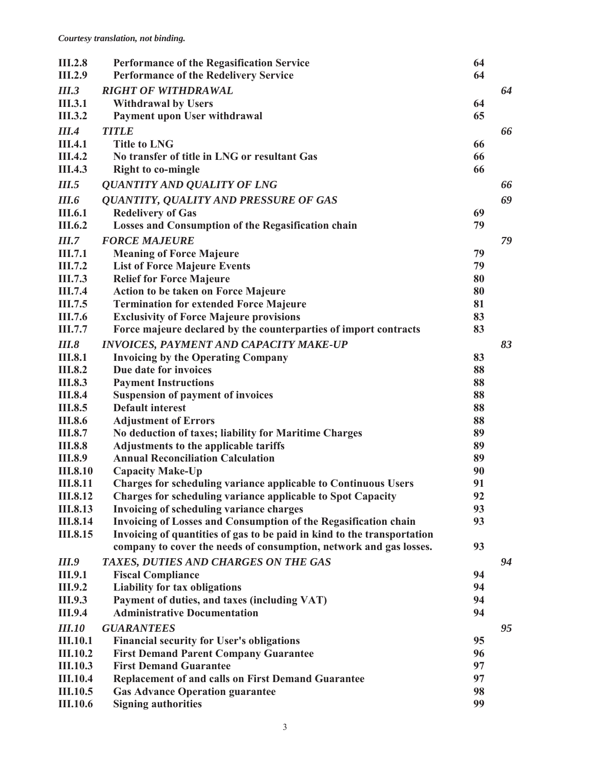| <b>III.2.8</b><br><b>III.2.9</b> | <b>Performance of the Regasification Service</b><br><b>Performance of the Redelivery Service</b>                                            | 64<br>64 |    |
|----------------------------------|---------------------------------------------------------------------------------------------------------------------------------------------|----------|----|
|                                  |                                                                                                                                             |          |    |
| <b>III.3</b>                     | <b>RIGHT OF WITHDRAWAL</b>                                                                                                                  |          | 64 |
| <b>III.3.1</b>                   | <b>Withdrawal by Users</b>                                                                                                                  | 64       |    |
| <b>III.3.2</b>                   | Payment upon User withdrawal                                                                                                                | 65       |    |
| <b>III.4</b>                     | <b>TITLE</b>                                                                                                                                |          | 66 |
| <b>III.4.1</b>                   | <b>Title to LNG</b>                                                                                                                         | 66       |    |
| <b>III.4.2</b>                   | No transfer of title in LNG or resultant Gas                                                                                                | 66       |    |
| <b>III.4.3</b>                   | <b>Right to co-mingle</b>                                                                                                                   | 66       |    |
| <b>III.5</b>                     | <b>QUANTITY AND QUALITY OF LNG</b>                                                                                                          |          | 66 |
| <b>III.6</b>                     | <b>QUANTITY, QUALITY AND PRESSURE OF GAS</b>                                                                                                |          | 69 |
| <b>III.6.1</b>                   | <b>Redelivery of Gas</b>                                                                                                                    | 69       |    |
| <b>III.6.2</b>                   | <b>Losses and Consumption of the Regasification chain</b>                                                                                   | 79       |    |
| III.7                            | <b>FORCE MAJEURE</b>                                                                                                                        |          | 79 |
| III.7.1                          | <b>Meaning of Force Majeure</b>                                                                                                             | 79       |    |
| III.7.2                          | <b>List of Force Majeure Events</b>                                                                                                         | 79       |    |
| <b>III.7.3</b>                   | <b>Relief for Force Majeure</b>                                                                                                             | 80       |    |
| <b>III.7.4</b>                   | <b>Action to be taken on Force Majeure</b>                                                                                                  | 80       |    |
| III.7.5                          | <b>Termination for extended Force Majeure</b>                                                                                               | 81       |    |
| III.7.6                          | <b>Exclusivity of Force Majeure provisions</b>                                                                                              | 83       |    |
| III.7.7                          | Force majeure declared by the counterparties of import contracts                                                                            | 83       |    |
| <b>III.8</b>                     | <b>INVOICES, PAYMENT AND CAPACITY MAKE-UP</b>                                                                                               |          | 83 |
| <b>III.8.1</b>                   | <b>Invoicing by the Operating Company</b>                                                                                                   | 83       |    |
| <b>III.8.2</b>                   | Due date for invoices                                                                                                                       | 88       |    |
| <b>III.8.3</b>                   | <b>Payment Instructions</b>                                                                                                                 | 88       |    |
| <b>III.8.4</b>                   | <b>Suspension of payment of invoices</b>                                                                                                    | 88       |    |
| <b>III.8.5</b>                   | <b>Default interest</b>                                                                                                                     | 88       |    |
| <b>III.8.6</b>                   |                                                                                                                                             | 88       |    |
| <b>III.8.7</b>                   | <b>Adjustment of Errors</b><br>No deduction of taxes; liability for Maritime Charges                                                        | 89       |    |
| <b>III.8.8</b>                   |                                                                                                                                             | 89       |    |
| <b>III.8.9</b>                   | <b>Adjustments to the applicable tariffs</b><br><b>Annual Reconciliation Calculation</b>                                                    | 89       |    |
| <b>III.8.10</b>                  |                                                                                                                                             | 90       |    |
| <b>III.8.11</b>                  | <b>Capacity Make-Up</b>                                                                                                                     | 91       |    |
| <b>III.8.12</b>                  | <b>Charges for scheduling variance applicable to Continuous Users</b><br><b>Charges for scheduling variance applicable to Spot Capacity</b> | 92       |    |
| <b>III.8.13</b>                  | Invoicing of scheduling variance charges                                                                                                    | 93       |    |
| <b>III.8.14</b>                  | Invoicing of Losses and Consumption of the Regasification chain                                                                             | 93       |    |
| <b>III.8.15</b>                  | Invoicing of quantities of gas to be paid in kind to the transportation                                                                     |          |    |
|                                  | company to cover the needs of consumption, network and gas losses.                                                                          | 93       |    |
|                                  |                                                                                                                                             |          |    |
| <i>III.9</i>                     | TAXES, DUTIES AND CHARGES ON THE GAS                                                                                                        |          | 94 |
| <b>III.9.1</b>                   | <b>Fiscal Compliance</b>                                                                                                                    | 94       |    |
| <b>III.9.2</b>                   | <b>Liability for tax obligations</b>                                                                                                        | 94       |    |
| <b>III.9.3</b>                   | Payment of duties, and taxes (including VAT)                                                                                                | 94       |    |
| <b>III.9.4</b>                   | <b>Administrative Documentation</b>                                                                                                         | 94       |    |
| <b>III.10</b>                    | <b>GUARANTEES</b>                                                                                                                           |          | 95 |
| <b>III.10.1</b>                  | <b>Financial security for User's obligations</b>                                                                                            | 95       |    |
| <b>III.10.2</b>                  | <b>First Demand Parent Company Guarantee</b>                                                                                                | 96       |    |
| <b>III.10.3</b>                  | <b>First Demand Guarantee</b>                                                                                                               | 97       |    |
| <b>III.10.4</b>                  | <b>Replacement of and calls on First Demand Guarantee</b>                                                                                   | 97       |    |
| <b>III.10.5</b>                  | <b>Gas Advance Operation guarantee</b>                                                                                                      | 98       |    |
| <b>III.10.6</b>                  | <b>Signing authorities</b>                                                                                                                  | 99       |    |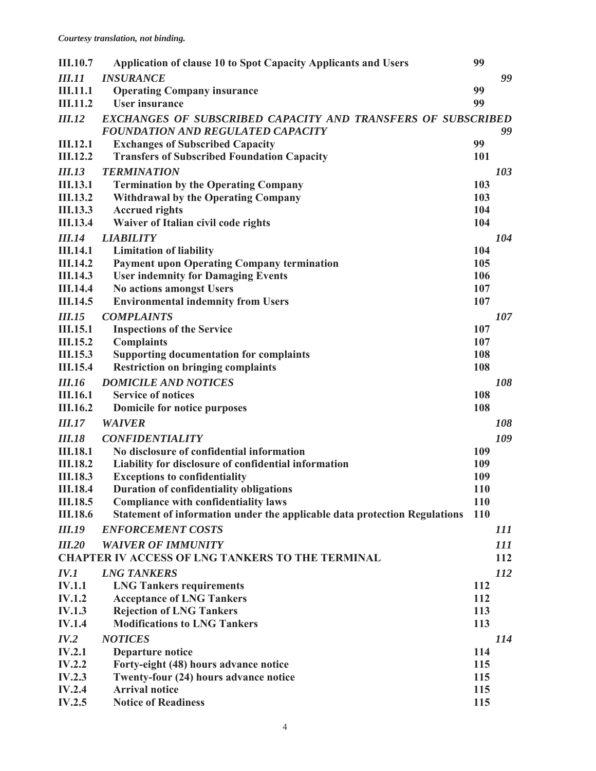| <b>III.10.7</b> | <b>Application of clause 10 to Spot Capacity Applicants and Users</b>     | 99         |                   |
|-----------------|---------------------------------------------------------------------------|------------|-------------------|
| <b>III.11</b>   | <b>INSURANCE</b>                                                          |            | 99                |
| <b>III.11.1</b> | <b>Operating Company insurance</b>                                        | 99         |                   |
| <b>III.11.2</b> | <b>User insurance</b>                                                     | 99         |                   |
| <b>III.12</b>   | <b>EXCHANGES OF SUBSCRIBED CAPACITY AND TRANSFERS OF SUBSCRIBED</b>       |            |                   |
|                 | <b>FOUNDATION AND REGULATED CAPACITY</b>                                  |            | 99                |
| <b>III.12.1</b> | <b>Exchanges of Subscribed Capacity</b>                                   | 99         |                   |
| <b>III.12.2</b> | <b>Transfers of Subscribed Foundation Capacity</b>                        | 101        |                   |
| <b>III.13</b>   | <b>TERMINATION</b>                                                        |            | 103               |
| <b>III.13.1</b> | <b>Termination by the Operating Company</b>                               | 103        |                   |
| <b>III.13.2</b> | <b>Withdrawal by the Operating Company</b>                                | 103        |                   |
| <b>III.13.3</b> | <b>Accrued rights</b>                                                     | 104        |                   |
| <b>III.13.4</b> | Waiver of Italian civil code rights                                       | 104        |                   |
| <b>III.14</b>   | <b>LIABILITY</b>                                                          |            | 104               |
| <b>III.14.1</b> | <b>Limitation of liability</b>                                            | 104        |                   |
| <b>III.14.2</b> | <b>Payment upon Operating Company termination</b>                         | 105        |                   |
| <b>III.14.3</b> | <b>User indemnity for Damaging Events</b>                                 | 106        |                   |
| <b>III.14.4</b> | <b>No actions amongst Users</b>                                           | 107        |                   |
| <b>III.14.5</b> | <b>Environmental indemnity from Users</b>                                 | 107        |                   |
| <b>III.15</b>   | <b>COMPLAINTS</b>                                                         |            | 107               |
| <b>III.15.1</b> | <b>Inspections of the Service</b>                                         | 107        |                   |
| <b>III.15.2</b> | <b>Complaints</b>                                                         | 107        |                   |
| <b>III.15.3</b> | <b>Supporting documentation for complaints</b>                            | 108        |                   |
| <b>III.15.4</b> | <b>Restriction on bringing complaints</b>                                 | 108        |                   |
| <b>III.16</b>   | <b>DOMICILE AND NOTICES</b>                                               |            | 108               |
| <b>III.16.1</b> | <b>Service of notices</b>                                                 | 108        |                   |
| <b>III.16.2</b> | Domicile for notice purposes                                              | 108        |                   |
| <b>III.17</b>   | <b>WAIVER</b>                                                             |            | <i><b>108</b></i> |
| <b>III.18</b>   | <b>CONFIDENTIALITY</b>                                                    |            | 109               |
| <b>III.18.1</b> | No disclosure of confidential information                                 | 109        |                   |
| <b>III.18.2</b> | Liability for disclosure of confidential information                      | 109        |                   |
| <b>III.18.3</b> | <b>Exceptions to confidentiality</b>                                      | 109        |                   |
| <b>III.18.4</b> | <b>Duration of confidentiality obligations</b>                            | <b>110</b> |                   |
| <b>III.18.5</b> | <b>Compliance with confidentiality laws</b>                               | <b>110</b> |                   |
| <b>III.18.6</b> | Statement of information under the applicable data protection Regulations | <b>110</b> |                   |
| <b>III.19</b>   | <b>ENFORCEMENT COSTS</b>                                                  |            | 111               |
| <b>III.20</b>   | <b>WAIVER OF IMMUNITY</b>                                                 |            | 111               |
|                 | <b>CHAPTER IV ACCESS OF LNG TANKERS TO THE TERMINAL</b>                   |            | 112               |
| IV.1            | <b>LNG TANKERS</b>                                                        |            | <i>112</i>        |
| <b>IV.1.1</b>   | <b>LNG Tankers requirements</b>                                           | 112        |                   |
| <b>IV.1.2</b>   | <b>Acceptance of LNG Tankers</b>                                          | 112        |                   |
| <b>IV.1.3</b>   | <b>Rejection of LNG Tankers</b>                                           | 113        |                   |
| <b>IV.1.4</b>   | <b>Modifications to LNG Tankers</b>                                       | 113        |                   |
| IV.2            | <b>NOTICES</b>                                                            |            | 114               |
| <b>IV.2.1</b>   | <b>Departure notice</b>                                                   | 114        |                   |
| IV.2.2          | Forty-eight (48) hours advance notice                                     | 115        |                   |
| IV.2.3          | Twenty-four (24) hours advance notice                                     | 115        |                   |
| <b>IV.2.4</b>   | <b>Arrival notice</b>                                                     | 115        |                   |
| IV.2.5          | <b>Notice of Readiness</b>                                                | 115        |                   |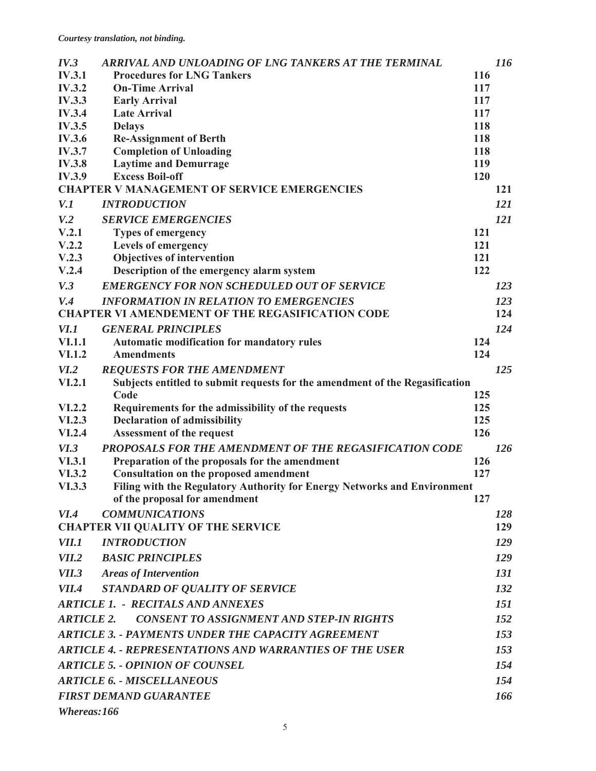| IV.3                                     | ARRIVAL AND UNLOADING OF LNG TANKERS AT THE TERMINAL                                                      |            | <b>116</b> |
|------------------------------------------|-----------------------------------------------------------------------------------------------------------|------------|------------|
| <b>IV.3.1</b>                            | <b>Procedures for LNG Tankers</b>                                                                         | 116        |            |
| <b>IV.3.2</b>                            | <b>On-Time Arrival</b>                                                                                    | 117        |            |
| <b>IV.3.3</b>                            | <b>Early Arrival</b>                                                                                      | 117        |            |
| <b>IV.3.4</b>                            | <b>Late Arrival</b>                                                                                       | 117        |            |
| <b>IV.3.5</b>                            | <b>Delays</b>                                                                                             | 118        |            |
| <b>IV.3.6</b>                            | <b>Re-Assignment of Berth</b>                                                                             | 118        |            |
| <b>IV.3.7</b>                            | <b>Completion of Unloading</b>                                                                            | 118        |            |
| <b>IV.3.8</b><br><b>IV.3.9</b>           | <b>Laytime and Demurrage</b><br><b>Excess Boil-off</b>                                                    | 119<br>120 |            |
|                                          | <b>CHAPTER V MANAGEMENT OF SERVICE EMERGENCIES</b>                                                        |            | 121        |
| V.1                                      | <b>INTRODUCTION</b>                                                                                       |            | 121        |
| V <sub>1</sub> 2                         | <b>SERVICE EMERGENCIES</b>                                                                                |            | 121        |
| V.2.1                                    | <b>Types of emergency</b>                                                                                 | 121        |            |
| V.2.2                                    | Levels of emergency                                                                                       | 121        |            |
| V.2.3                                    | <b>Objectives of intervention</b>                                                                         | 121        |            |
| V.2.4                                    | Description of the emergency alarm system                                                                 | 122        |            |
| V.3                                      | <b>EMERGENCY FOR NON SCHEDULED OUT OF SERVICE</b>                                                         |            | 123        |
| V.4                                      | <b>INFORMATION IN RELATION TO EMERGENCIES</b>                                                             |            | 123        |
|                                          | <b>CHAPTER VI AMENDEMENT OF THE REGASIFICATION CODE</b>                                                   |            | 124        |
| VI.1                                     | <b>GENERAL PRINCIPLES</b>                                                                                 |            | 124        |
| <b>VI.1.1</b>                            | <b>Automatic modification for mandatory rules</b>                                                         | 124        |            |
| <b>VI.1.2</b>                            | <b>Amendments</b>                                                                                         | 124        |            |
| VI.2                                     | <b>REQUESTS FOR THE AMENDMENT</b>                                                                         |            | 125        |
| VI.2.1                                   | Subjects entitled to submit requests for the amendment of the Regasification                              |            |            |
|                                          | Code                                                                                                      | 125        |            |
| VI.2.2                                   | Requirements for the admissibility of the requests                                                        | 125        |            |
| <b>VI.2.3</b>                            | <b>Declaration of admissibility</b>                                                                       | 125        |            |
| <b>VI.2.4</b>                            | <b>Assessment of the request</b>                                                                          | 126        |            |
| VI.3                                     | PROPOSALS FOR THE AMENDMENT OF THE REGASIFICATION CODE                                                    |            | <b>126</b> |
| <b>VI.3.1</b>                            | Preparation of the proposals for the amendment                                                            | 126        |            |
| VI.3.2                                   | <b>Consultation on the proposed amendment</b>                                                             | 127        |            |
| VI.3.3                                   | Filing with the Regulatory Authority for Energy Networks and Environment<br>of the proposal for amendment | 127        |            |
| VI.4                                     | <b>COMMUNICATIONS</b>                                                                                     |            | 128        |
|                                          | <b>CHAPTER VII QUALITY OF THE SERVICE</b>                                                                 |            | 129        |
| <i>VII.1</i>                             | <b>INTRODUCTION</b>                                                                                       |            | <i>129</i> |
| <i>VII.2</i>                             | <b>BASIC PRINCIPLES</b>                                                                                   |            | 129        |
| <i>VII.3</i>                             | <b>Areas of Intervention</b>                                                                              |            | 131        |
| <i>VII.4</i>                             | <b>STANDARD OF QUALITY OF SERVICE</b>                                                                     |            | 132        |
| <b>ARTICLE 1. - RECITALS AND ANNEXES</b> |                                                                                                           |            | 151        |
| <b>ARTICLE 2.</b>                        | <b>CONSENT TO ASSIGNMENT AND STEP-IN RIGHTS</b>                                                           |            | <i>152</i> |
|                                          | <b>ARTICLE 3. - PAYMENTS UNDER THE CAPACITY AGREEMENT</b>                                                 |            | 153        |
|                                          | <b>ARTICLE 4. - REPRESENTATIONS AND WARRANTIES OF THE USER</b>                                            |            | 153        |
|                                          | <b>ARTICLE 5. - OPINION OF COUNSEL</b>                                                                    |            | 154        |
|                                          | <b>ARTICLE 6. - MISCELLANEOUS</b>                                                                         |            | 154        |
|                                          | <b>FIRST DEMAND GUARANTEE</b>                                                                             |            | 166        |
| Whereas:166                              |                                                                                                           |            |            |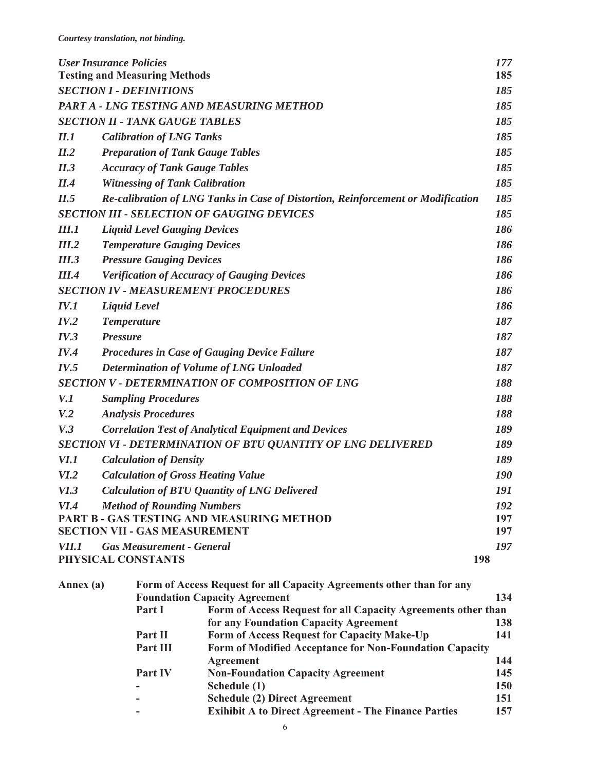| <b>User Insurance Policies</b>                                                                    |                                      |                                                        | 177<br>185                                                                                            |            |
|---------------------------------------------------------------------------------------------------|--------------------------------------|--------------------------------------------------------|-------------------------------------------------------------------------------------------------------|------------|
|                                                                                                   | <b>Testing and Measuring Methods</b> |                                                        |                                                                                                       |            |
| <b>SECTION I - DEFINITIONS</b>                                                                    |                                      |                                                        | 185                                                                                                   |            |
|                                                                                                   |                                      |                                                        | PART A - LNG TESTING AND MEASURING METHOD                                                             | 185        |
|                                                                                                   |                                      | <b>SECTION II - TANK GAUGE TABLES</b>                  |                                                                                                       | 185        |
| II.1                                                                                              |                                      | <b>Calibration of LNG Tanks</b>                        |                                                                                                       | 185        |
| II.2                                                                                              |                                      |                                                        | <b>Preparation of Tank Gauge Tables</b>                                                               | 185        |
| II.3                                                                                              |                                      | <b>Accuracy of Tank Gauge Tables</b>                   |                                                                                                       | 185        |
| II.4                                                                                              |                                      | <b>Witnessing of Tank Calibration</b>                  |                                                                                                       | 185        |
| II.5                                                                                              |                                      |                                                        | Re-calibration of LNG Tanks in Case of Distortion, Reinforcement or Modification                      | 185        |
|                                                                                                   |                                      |                                                        | <b>SECTION III - SELECTION OF GAUGING DEVICES</b>                                                     | 185        |
| <i><b>III.1</b></i>                                                                               |                                      | <b>Liquid Level Gauging Devices</b>                    |                                                                                                       | 186        |
| III.2                                                                                             |                                      | <b>Temperature Gauging Devices</b>                     |                                                                                                       | 186        |
| III.3                                                                                             |                                      | <b>Pressure Gauging Devices</b>                        |                                                                                                       | 186        |
| <i>III.4</i>                                                                                      |                                      |                                                        | <b>Verification of Accuracy of Gauging Devices</b>                                                    | 186        |
|                                                                                                   |                                      |                                                        | <b>SECTION IV - MEASUREMENT PROCEDURES</b>                                                            | 186        |
| IV.1                                                                                              | <b>Liquid Level</b>                  |                                                        |                                                                                                       | 186        |
| IV.2                                                                                              | <b>Temperature</b>                   |                                                        |                                                                                                       | 187        |
| IV.3                                                                                              | <b>Pressure</b>                      |                                                        |                                                                                                       | 187        |
| IV.4                                                                                              |                                      |                                                        | <b>Procedures in Case of Gauging Device Failure</b>                                                   | 187        |
| IV.5                                                                                              |                                      |                                                        |                                                                                                       | 187        |
| Determination of Volume of LNG Unloaded<br><b>SECTION V - DETERMINATION OF COMPOSITION OF LNG</b> |                                      |                                                        | 188                                                                                                   |            |
| V.1                                                                                               |                                      | <b>Sampling Procedures</b>                             |                                                                                                       | 188        |
| V <sub>1</sub> 2                                                                                  |                                      | <b>Analysis Procedures</b>                             |                                                                                                       | 188        |
| V.3                                                                                               |                                      |                                                        | <b>Correlation Test of Analytical Equipment and Devices</b>                                           | 189        |
|                                                                                                   |                                      |                                                        |                                                                                                       | 189        |
|                                                                                                   |                                      |                                                        | <b>SECTION VI - DETERMINATION OF BTU QUANTITY OF LNG DELIVERED</b>                                    |            |
| <i>VI.1</i>                                                                                       |                                      | <b>Calculation of Density</b>                          |                                                                                                       | 189        |
| VI.2                                                                                              |                                      |                                                        | <b>Calculation of Gross Heating Value</b>                                                             | 190        |
| VI.3                                                                                              |                                      |                                                        | <b>Calculation of BTU Quantity of LNG Delivered</b>                                                   | 191        |
| <i>VI.4</i>                                                                                       |                                      | <b>Method of Rounding Numbers</b>                      |                                                                                                       | 192        |
|                                                                                                   |                                      | <b>SECTION VII - GAS MEASUREMENT</b>                   | PART B - GAS TESTING AND MEASURING METHOD                                                             | 197<br>197 |
| <i>VII.1</i>                                                                                      |                                      |                                                        |                                                                                                       | 197        |
|                                                                                                   |                                      | <b>Gas Measurement - General</b><br>PHYSICAL CONSTANTS |                                                                                                       | 198        |
|                                                                                                   |                                      |                                                        |                                                                                                       |            |
| Annex (a)                                                                                         |                                      |                                                        | Form of Access Request for all Capacity Agreements other than for any                                 |            |
|                                                                                                   |                                      | Part I                                                 | <b>Foundation Capacity Agreement</b><br>Form of Access Request for all Capacity Agreements other than | 134        |
|                                                                                                   |                                      |                                                        | for any Foundation Capacity Agreement                                                                 | 138        |
|                                                                                                   |                                      | Part II                                                | Form of Access Request for Capacity Make-Up                                                           | 141        |
|                                                                                                   |                                      | Part III                                               | <b>Form of Modified Acceptance for Non-Foundation Capacity</b>                                        |            |
|                                                                                                   |                                      |                                                        | <b>Agreement</b>                                                                                      | 144        |
|                                                                                                   |                                      | Part IV                                                | <b>Non-Foundation Capacity Agreement</b>                                                              | 145        |
|                                                                                                   |                                      |                                                        | Schedule (1)                                                                                          | <b>150</b> |
|                                                                                                   |                                      |                                                        | <b>Schedule (2) Direct Agreement</b><br><b>Exihibit A to Direct Agreement - The Finance Parties</b>   | 151<br>157 |
|                                                                                                   |                                      |                                                        |                                                                                                       |            |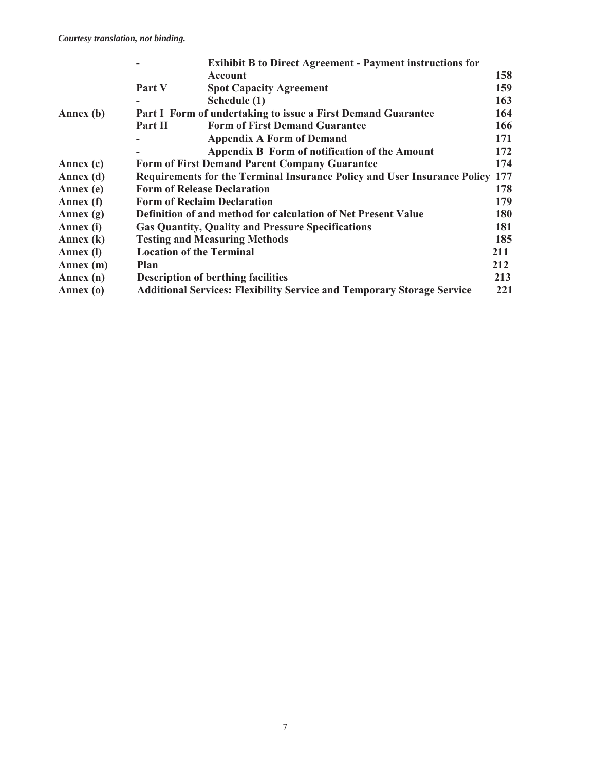|             | <b>Exihibit B to Direct Agreement - Payment instructions for</b>              |     |
|-------------|-------------------------------------------------------------------------------|-----|
|             | <b>Account</b>                                                                | 158 |
|             | Part V<br><b>Spot Capacity Agreement</b>                                      | 159 |
|             | Schedule (1)                                                                  | 163 |
| Annex (b)   | Part I Form of undertaking to issue a First Demand Guarantee                  | 164 |
|             | <b>Form of First Demand Guarantee</b><br><b>Part II</b>                       | 166 |
|             | <b>Appendix A Form of Demand</b>                                              | 171 |
|             | Appendix B Form of notification of the Amount                                 | 172 |
| Annex (c)   | <b>Form of First Demand Parent Company Guarantee</b>                          | 174 |
| Annex (d)   | Requirements for the Terminal Insurance Policy and User Insurance Policy 177  |     |
| Annex (e)   | <b>Form of Release Declaration</b>                                            | 178 |
| Annex (f)   | <b>Form of Reclaim Declaration</b>                                            | 179 |
| Annex $(g)$ | <b>Definition of and method for calculation of Net Present Value</b>          | 180 |
| Annex (i)   | <b>Gas Quantity, Quality and Pressure Specifications</b>                      | 181 |
| Annex (k)   | <b>Testing and Measuring Methods</b>                                          | 185 |
| Annex (I)   | <b>Location of the Terminal</b>                                               | 211 |
| Annex (m)   | Plan                                                                          | 212 |
| Annex (n)   | <b>Description of berthing facilities</b>                                     | 213 |
| Annex (o)   | <b>Additional Services: Flexibility Service and Temporary Storage Service</b> | 221 |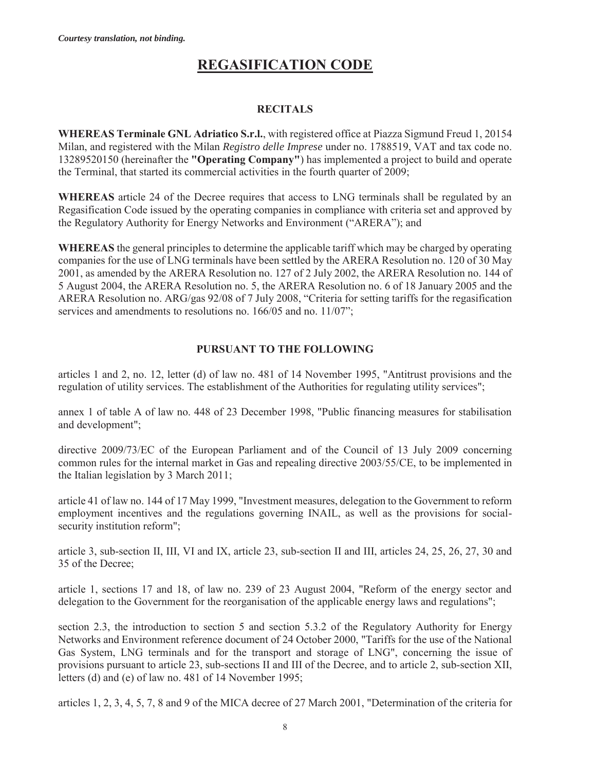# **REGASIFICATION CODE**

#### **RECITALS**

**WHEREAS Terminale GNL Adriatico S.r.l.**, with registered office at Piazza Sigmund Freud 1, 20154 Milan, and registered with the Milan *Registro delle Imprese* under no. 1788519, VAT and tax code no. 13289520150 (hereinafter the **"Operating Company"**) has implemented a project to build and operate the Terminal, that started its commercial activities in the fourth quarter of 2009;

**WHEREAS** article 24 of the Decree requires that access to LNG terminals shall be regulated by an Regasification Code issued by the operating companies in compliance with criteria set and approved by the Regulatory Authority for Energy Networks and Environment ("ARERA"); and

**WHEREAS** the general principles to determine the applicable tariff which may be charged by operating companies for the use of LNG terminals have been settled by the ARERA Resolution no. 120 of 30 May 2001, as amended by the ARERA Resolution no. 127 of 2 July 2002, the ARERA Resolution no. 144 of 5 August 2004, the ARERA Resolution no. 5, the ARERA Resolution no. 6 of 18 January 2005 and the ARERA Resolution no. ARG/gas 92/08 of 7 July 2008, "Criteria for setting tariffs for the regasification services and amendments to resolutions no. 166/05 and no. 11/07";

#### **PURSUANT TO THE FOLLOWING**

articles 1 and 2, no. 12, letter (d) of law no. 481 of 14 November 1995, "Antitrust provisions and the regulation of utility services. The establishment of the Authorities for regulating utility services";

annex 1 of table A of law no. 448 of 23 December 1998, "Public financing measures for stabilisation and development";

directive 2009/73/EC of the European Parliament and of the Council of 13 July 2009 concerning common rules for the internal market in Gas and repealing directive 2003/55/CE, to be implemented in the Italian legislation by 3 March 2011;

article 41 of law no. 144 of 17 May 1999, "Investment measures, delegation to the Government to reform employment incentives and the regulations governing INAIL, as well as the provisions for socialsecurity institution reform";

article 3, sub-section II, III, VI and IX, article 23, sub-section II and III, articles 24, 25, 26, 27, 30 and 35 of the Decree;

article 1, sections 17 and 18, of law no. 239 of 23 August 2004, "Reform of the energy sector and delegation to the Government for the reorganisation of the applicable energy laws and regulations";

section 2.3, the introduction to section 5 and section 5.3.2 of the Regulatory Authority for Energy Networks and Environment reference document of 24 October 2000, "Tariffs for the use of the National Gas System, LNG terminals and for the transport and storage of LNG", concerning the issue of provisions pursuant to article 23, sub-sections II and III of the Decree, and to article 2, sub-section XII, letters (d) and (e) of law no. 481 of 14 November 1995;

articles 1, 2, 3, 4, 5, 7, 8 and 9 of the MICA decree of 27 March 2001, "Determination of the criteria for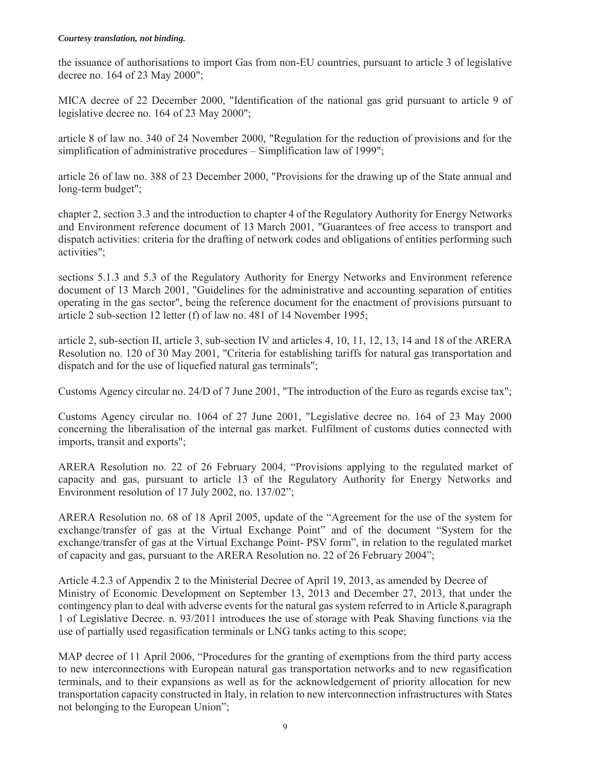#### *Courtesy translation, not binding.*

the issuance of authorisations to import Gas from non-EU countries, pursuant to article 3 of legislative decree no. 164 of 23 May 2000";

MICA decree of 22 December 2000, "Identification of the national gas grid pursuant to article 9 of legislative decree no. 164 of 23 May 2000";

article 8 of law no. 340 of 24 November 2000, "Regulation for the reduction of provisions and for the simplification of administrative procedures – Simplification law of 1999";

article 26 of law no. 388 of 23 December 2000, "Provisions for the drawing up of the State annual and long-term budget";

chapter 2, section 3.3 and the introduction to chapter 4 of the Regulatory Authority for Energy Networks and Environment reference document of 13 March 2001, "Guarantees of free access to transport and dispatch activities: criteria for the drafting of network codes and obligations of entities performing such activities";

sections 5.1.3 and 5.3 of the Regulatory Authority for Energy Networks and Environment reference document of 13 March 2001, "Guidelines for the administrative and accounting separation of entities operating in the gas sector", being the reference document for the enactment of provisions pursuant to article 2 sub-section 12 letter (f) of law no. 481 of 14 November 1995;

article 2, sub-section II, article 3, sub-section IV and articles 4, 10, 11, 12, 13, 14 and 18 of the ARERA Resolution no. 120 of 30 May 2001, "Criteria for establishing tariffs for natural gas transportation and dispatch and for the use of liquefied natural gas terminals";

Customs Agency circular no. 24/D of 7 June 2001, "The introduction of the Euro as regards excise tax";

Customs Agency circular no. 1064 of 27 June 2001, "Legislative decree no. 164 of 23 May 2000 concerning the liberalisation of the internal gas market. Fulfilment of customs duties connected with imports, transit and exports";

ARERA Resolution no. 22 of 26 February 2004, "Provisions applying to the regulated market of capacity and gas, pursuant to article 13 of the Regulatory Authority for Energy Networks and Environment resolution of 17 July 2002, no. 137/02";

ARERA Resolution no. 68 of 18 April 2005, update of the "Agreement for the use of the system for exchange/transfer of gas at the Virtual Exchange Point" and of the document "System for the exchange/transfer of gas at the Virtual Exchange Point- PSV form", in relation to the regulated market of capacity and gas, pursuant to the ARERA Resolution no. 22 of 26 February 2004";

Article 4.2.3 of Appendix 2 to the Ministerial Decree of April 19, 2013, as amended by Decree of Ministry of Economic Development on September 13, 2013 and December 27, 2013, that under the contingency plan to deal with adverse events for the natural gas system referred to in Article 8,paragraph 1 of Legislative Decree. n. 93/2011 introduces the use of storage with Peak Shaving functions via the use of partially used regasification terminals or LNG tanks acting to this scope;

MAP decree of 11 April 2006, "Procedures for the granting of exemptions from the third party access to new interconnections with European natural gas transportation networks and to new regasification terminals, and to their expansions as well as for the acknowledgement of priority allocation for new transportation capacity constructed in Italy, in relation to new interconnection infrastructures with States not belonging to the European Union";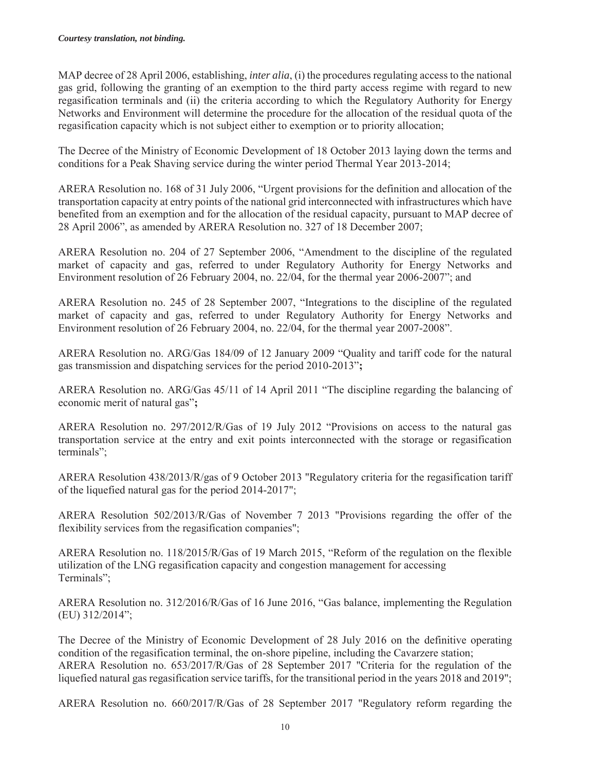MAP decree of 28 April 2006, establishing, *inter alia*, (i) the procedures regulating access to the national gas grid, following the granting of an exemption to the third party access regime with regard to new regasification terminals and (ii) the criteria according to which the Regulatory Authority for Energy Networks and Environment will determine the procedure for the allocation of the residual quota of the regasification capacity which is not subject either to exemption or to priority allocation;

The Decree of the Ministry of Economic Development of 18 October 2013 laying down the terms and conditions for a Peak Shaving service during the winter period Thermal Year 2013-2014;

ARERA Resolution no. 168 of 31 July 2006, "Urgent provisions for the definition and allocation of the transportation capacity at entry points of the national grid interconnected with infrastructures which have benefited from an exemption and for the allocation of the residual capacity, pursuant to MAP decree of 28 April 2006", as amended by ARERA Resolution no. 327 of 18 December 2007;

ARERA Resolution no. 204 of 27 September 2006, "Amendment to the discipline of the regulated market of capacity and gas, referred to under Regulatory Authority for Energy Networks and Environment resolution of 26 February 2004, no. 22/04, for the thermal year 2006-2007"; and

ARERA Resolution no. 245 of 28 September 2007, "Integrations to the discipline of the regulated market of capacity and gas, referred to under Regulatory Authority for Energy Networks and Environment resolution of 26 February 2004, no. 22/04, for the thermal year 2007-2008".

ARERA Resolution no. ARG/Gas 184/09 of 12 January 2009 "Quality and tariff code for the natural gas transmission and dispatching services for the period 2010-2013"**;** 

ARERA Resolution no. ARG/Gas 45/11 of 14 April 2011 "The discipline regarding the balancing of economic merit of natural gas"**;** 

ARERA Resolution no. 297/2012/R/Gas of 19 July 2012 "Provisions on access to the natural gas transportation service at the entry and exit points interconnected with the storage or regasification terminals";

ARERA Resolution 438/2013/R/gas of 9 October 2013 "Regulatory criteria for the regasification tariff of the liquefied natural gas for the period 2014-2017";

ARERA Resolution 502/2013/R/Gas of November 7 2013 "Provisions regarding the offer of the flexibility services from the regasification companies";

ARERA Resolution no. 118/2015/R/Gas of 19 March 2015, "Reform of the regulation on the flexible utilization of the LNG regasification capacity and congestion management for accessing Terminals";

ARERA Resolution no. 312/2016/R/Gas of 16 June 2016, "Gas balance, implementing the Regulation (EU) 312/2014";

The Decree of the Ministry of Economic Development of 28 July 2016 on the definitive operating condition of the regasification terminal, the on-shore pipeline, including the Cavarzere station; ARERA Resolution no. 653/2017/R/Gas of 28 September 2017 "Criteria for the regulation of the liquefied natural gas regasification service tariffs, for the transitional period in the years 2018 and 2019";

ARERA Resolution no. 660/2017/R/Gas of 28 September 2017 "Regulatory reform regarding the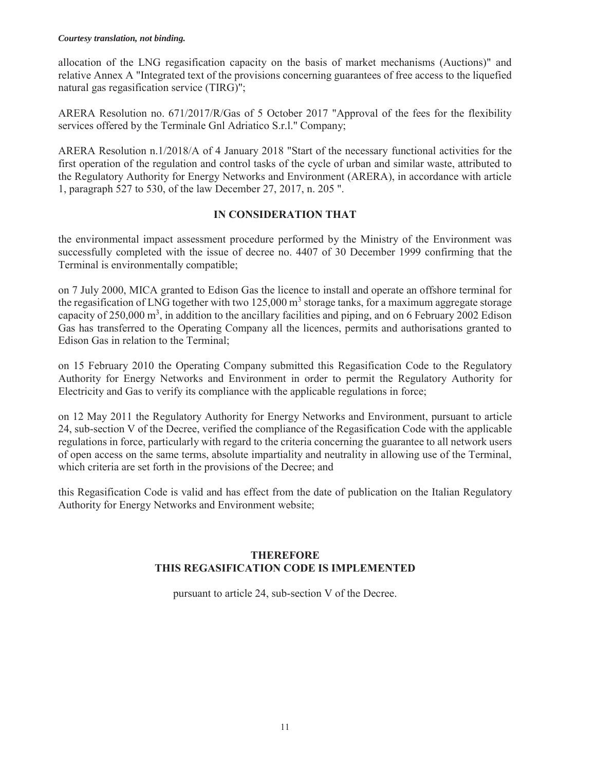#### *Courtesy translation, not binding.*

allocation of the LNG regasification capacity on the basis of market mechanisms (Auctions)" and relative Annex A "Integrated text of the provisions concerning guarantees of free access to the liquefied natural gas regasification service (TIRG)";

ARERA Resolution no. 671/2017/R/Gas of 5 October 2017 "Approval of the fees for the flexibility services offered by the Terminale Gnl Adriatico S.r.l." Company;

ARERA Resolution n.1/2018/A of 4 January 2018 "Start of the necessary functional activities for the first operation of the regulation and control tasks of the cycle of urban and similar waste, attributed to the Regulatory Authority for Energy Networks and Environment (ARERA), in accordance with article 1, paragraph 527 to 530, of the law December 27, 2017, n. 205 ".

#### **IN CONSIDERATION THAT**

the environmental impact assessment procedure performed by the Ministry of the Environment was successfully completed with the issue of decree no. 4407 of 30 December 1999 confirming that the Terminal is environmentally compatible;

on 7 July 2000, MICA granted to Edison Gas the licence to install and operate an offshore terminal for the regasification of LNG together with two  $125,000 \text{ m}^3$  storage tanks, for a maximum aggregate storage capacity of 250,000  $m^3$ , in addition to the ancillary facilities and piping, and on 6 February 2002 Edison Gas has transferred to the Operating Company all the licences, permits and authorisations granted to Edison Gas in relation to the Terminal;

on 15 February 2010 the Operating Company submitted this Regasification Code to the Regulatory Authority for Energy Networks and Environment in order to permit the Regulatory Authority for Electricity and Gas to verify its compliance with the applicable regulations in force;

on 12 May 2011 the Regulatory Authority for Energy Networks and Environment, pursuant to article 24, sub-section V of the Decree, verified the compliance of the Regasification Code with the applicable regulations in force, particularly with regard to the criteria concerning the guarantee to all network users of open access on the same terms, absolute impartiality and neutrality in allowing use of the Terminal, which criteria are set forth in the provisions of the Decree; and

this Regasification Code is valid and has effect from the date of publication on the Italian Regulatory Authority for Energy Networks and Environment website;

#### **THEREFORE THIS REGASIFICATION CODE IS IMPLEMENTED**

pursuant to article 24, sub-section V of the Decree.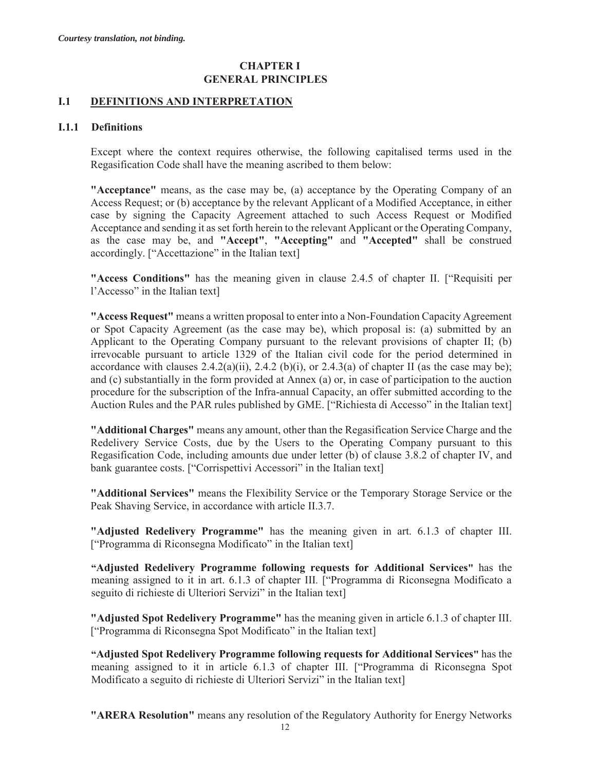### **CHAPTER I GENERAL PRINCIPLES**

#### **I.1 DEFINITIONS AND INTERPRETATION**

#### **I.1.1 Definitions**

Except where the context requires otherwise, the following capitalised terms used in the Regasification Code shall have the meaning ascribed to them below:

**"Acceptance"** means, as the case may be, (a) acceptance by the Operating Company of an Access Request; or (b) acceptance by the relevant Applicant of a Modified Acceptance, in either case by signing the Capacity Agreement attached to such Access Request or Modified Acceptance and sending it as set forth herein to the relevant Applicant or the Operating Company, as the case may be, and **"Accept"**, **"Accepting"** and **"Accepted"** shall be construed accordingly. ["Accettazione" in the Italian text]

**"Access Conditions"** has the meaning given in clause 2.4.5 of chapter II. ["Requisiti per l'Accesso" in the Italian text]

**"Access Request"** means a written proposal to enter into a Non-Foundation Capacity Agreement or Spot Capacity Agreement (as the case may be), which proposal is: (a) submitted by an Applicant to the Operating Company pursuant to the relevant provisions of chapter II; (b) irrevocable pursuant to article 1329 of the Italian civil code for the period determined in accordance with clauses  $2.4.2(a)(ii)$ ,  $2.4.2(b)(i)$ , or  $2.4.3(a)$  of chapter II (as the case may be); and (c) substantially in the form provided at Annex (a) or, in case of participation to the auction procedure for the subscription of the Infra-annual Capacity, an offer submitted according to the Auction Rules and the PAR rules published by GME. ["Richiesta di Accesso" in the Italian text]

**"Additional Charges"** means any amount, other than the Regasification Service Charge and the Redelivery Service Costs, due by the Users to the Operating Company pursuant to this Regasification Code, including amounts due under letter (b) of clause 3.8.2 of chapter IV, and bank guarantee costs. ["Corrispettivi Accessori" in the Italian text]

**"Additional Services"** means the Flexibility Service or the Temporary Storage Service or the Peak Shaving Service, in accordance with article II.3.7.

**"Adjusted Redelivery Programme"** has the meaning given in art. 6.1.3 of chapter III. ["Programma di Riconsegna Modificato" in the Italian text]

**"Adjusted Redelivery Programme following requests for Additional Services"** has the meaning assigned to it in art. 6.1.3 of chapter III. ["Programma di Riconsegna Modificato a seguito di richieste di Ulteriori Servizi" in the Italian text]

**"Adjusted Spot Redelivery Programme"** has the meaning given in article 6.1.3 of chapter III. ["Programma di Riconsegna Spot Modificato" in the Italian text]

**"Adjusted Spot Redelivery Programme following requests for Additional Services"** has the meaning assigned to it in article 6.1.3 of chapter III. ["Programma di Riconsegna Spot Modificato a seguito di richieste di Ulteriori Servizi" in the Italian text]

**"ARERA Resolution"** means any resolution of the Regulatory Authority for Energy Networks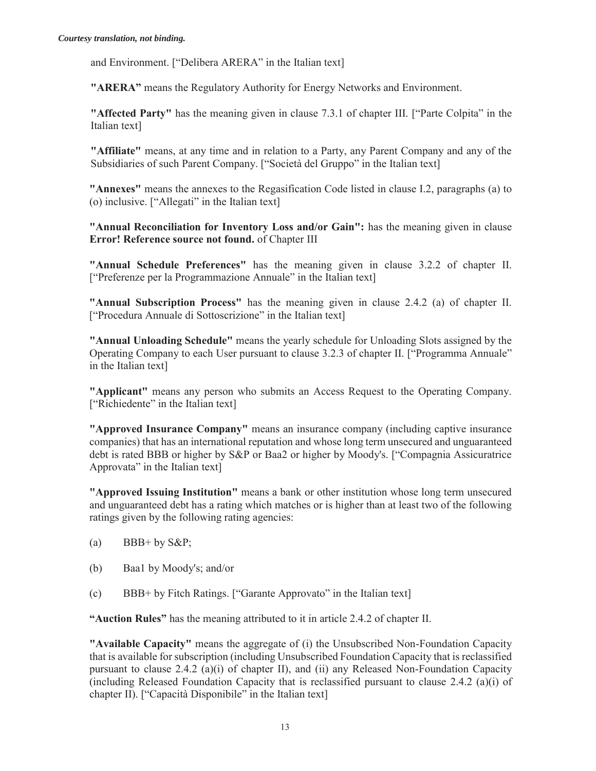and Environment. ["Delibera ARERA" in the Italian text]

**"ARERA"** means the Regulatory Authority for Energy Networks and Environment.

**"Affected Party"** has the meaning given in clause 7.3.1 of chapter III. ["Parte Colpita" in the Italian text]

**"Affiliate"** means, at any time and in relation to a Party, any Parent Company and any of the Subsidiaries of such Parent Company. ["Società del Gruppo" in the Italian text]

**"Annexes"** means the annexes to the Regasification Code listed in clause I.2, paragraphs (a) to (o) inclusive. ["Allegati" in the Italian text]

**"Annual Reconciliation for Inventory Loss and/or Gain":** has the meaning given in clause **Error! Reference source not found.** of Chapter III

**"Annual Schedule Preferences"** has the meaning given in clause 3.2.2 of chapter II. ["Preferenze per la Programmazione Annuale" in the Italian text]

**"Annual Subscription Process"** has the meaning given in clause 2.4.2 (a) of chapter II. ["Procedura Annuale di Sottoscrizione" in the Italian text]

**"Annual Unloading Schedule"** means the yearly schedule for Unloading Slots assigned by the Operating Company to each User pursuant to clause 3.2.3 of chapter II. ["Programma Annuale" in the Italian text]

**"Applicant"** means any person who submits an Access Request to the Operating Company. ["Richiedente" in the Italian text]

**"Approved Insurance Company"** means an insurance company (including captive insurance companies) that has an international reputation and whose long term unsecured and unguaranteed debt is rated BBB or higher by S&P or Baa2 or higher by Moody's. ["Compagnia Assicuratrice Approvata" in the Italian text]

**"Approved Issuing Institution"** means a bank or other institution whose long term unsecured and unguaranteed debt has a rating which matches or is higher than at least two of the following ratings given by the following rating agencies:

- (a) BBB+ by  $S\&P$ ;
- (b) Baa1 by Moody's; and/or
- (c) BBB+ by Fitch Ratings. ["Garante Approvato" in the Italian text]

**"Auction Rules"** has the meaning attributed to it in article 2.4.2 of chapter II.

**"Available Capacity"** means the aggregate of (i) the Unsubscribed Non-Foundation Capacity that is available for subscription (including Unsubscribed Foundation Capacity that is reclassified pursuant to clause 2.4.2 (a)(i) of chapter II), and (ii) any Released Non-Foundation Capacity (including Released Foundation Capacity that is reclassified pursuant to clause 2.4.2 (a)(i) of chapter II). ["Capacità Disponibile" in the Italian text]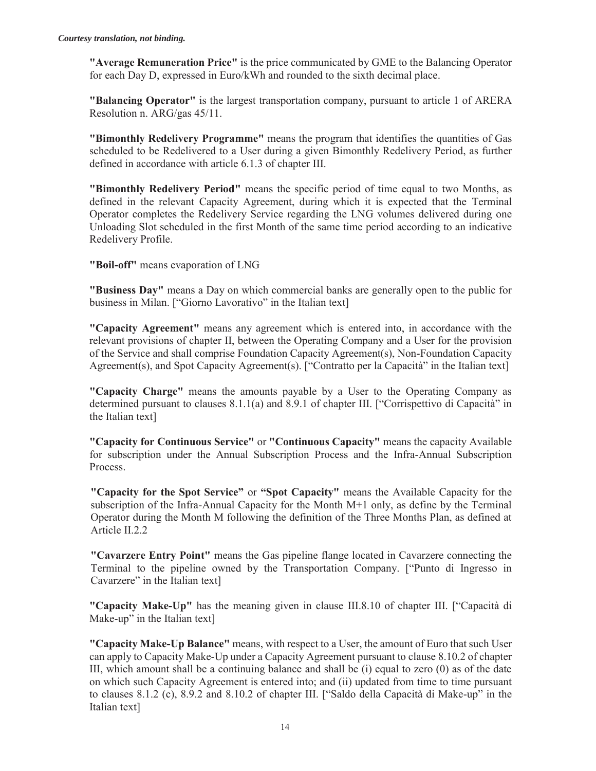**"Average Remuneration Price"** is the price communicated by GME to the Balancing Operator for each Day D, expressed in Euro/kWh and rounded to the sixth decimal place.

**"Balancing Operator"** is the largest transportation company, pursuant to article 1 of ARERA Resolution n. ARG/gas 45/11.

**"Bimonthly Redelivery Programme"** means the program that identifies the quantities of Gas scheduled to be Redelivered to a User during a given Bimonthly Redelivery Period, as further defined in accordance with article 6.1.3 of chapter III.

**"Bimonthly Redelivery Period"** means the specific period of time equal to two Months, as defined in the relevant Capacity Agreement, during which it is expected that the Terminal Operator completes the Redelivery Service regarding the LNG volumes delivered during one Unloading Slot scheduled in the first Month of the same time period according to an indicative Redelivery Profile.

**"Boil-off"** means evaporation of LNG

**"Business Day"** means a Day on which commercial banks are generally open to the public for business in Milan. ["Giorno Lavorativo" in the Italian text]

**"Capacity Agreement"** means any agreement which is entered into, in accordance with the relevant provisions of chapter II, between the Operating Company and a User for the provision of the Service and shall comprise Foundation Capacity Agreement(s), Non-Foundation Capacity Agreement(s), and Spot Capacity Agreement(s). ["Contratto per la Capacità" in the Italian text]

**"Capacity Charge"** means the amounts payable by a User to the Operating Company as determined pursuant to clauses 8.1.1(a) and 8.9.1 of chapter III. ["Corrispettivo di Capacità" in the Italian text]

**"Capacity for Continuous Service"** or **"Continuous Capacity"** means the capacity Available for subscription under the Annual Subscription Process and the Infra-Annual Subscription Process.

**"Capacity for the Spot Service"** or **"Spot Capacity"** means the Available Capacity for the subscription of the Infra-Annual Capacity for the Month M+1 only, as define by the Terminal Operator during the Month M following the definition of the Three Months Plan, as defined at Article II.2.2

**"Cavarzere Entry Point"** means the Gas pipeline flange located in Cavarzere connecting the Terminal to the pipeline owned by the Transportation Company. ["Punto di Ingresso in Cavarzere" in the Italian text]

**"Capacity Make-Up"** has the meaning given in clause III.8.10 of chapter III. ["Capacità di Make-up" in the Italian text]

**"Capacity Make-Up Balance"** means, with respect to a User, the amount of Euro that such User can apply to Capacity Make-Up under a Capacity Agreement pursuant to clause 8.10.2 of chapter III, which amount shall be a continuing balance and shall be  $(i)$  equal to zero  $(0)$  as of the date on which such Capacity Agreement is entered into; and (ii) updated from time to time pursuant to clauses 8.1.2 (c), 8.9.2 and 8.10.2 of chapter III. ["Saldo della Capacità di Make-up" in the Italian text]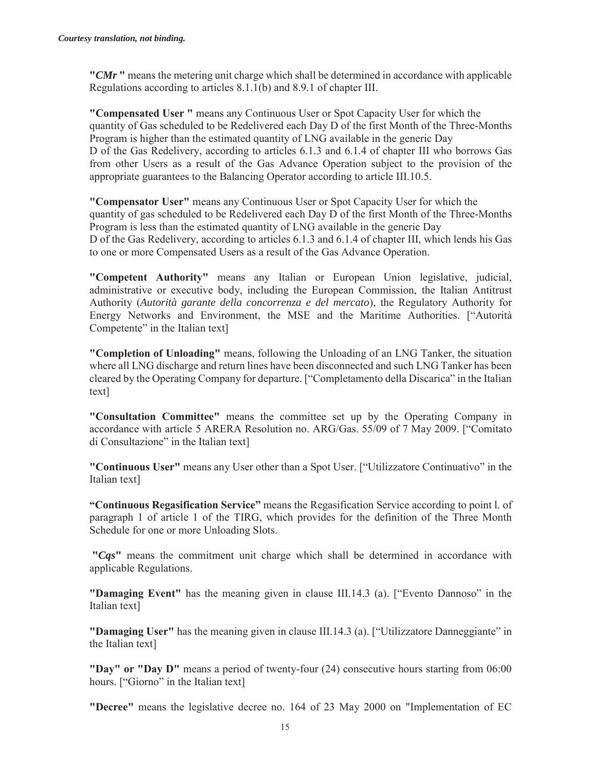**"***CMr* **"** means the metering unit charge which shall be determined in accordance with applicable Regulations according to articles 8.1.1(b) and 8.9.1 of chapter III.

**"Compensated User "** means any Continuous User or Spot Capacity User for which the quantity of Gas scheduled to be Redelivered each Day D of the first Month of the Three-Months Program is higher than the estimated quantity of LNG available in the generic Day D of the Gas Redelivery, according to articles 6.1.3 and 6.1.4 of chapter III who borrows Gas from other Users as a result of the Gas Advance Operation subject to the provision of the appropriate guarantees to the Balancing Operator according to article III.10.5.

**"Compensator User"** means any Continuous User or Spot Capacity User for which the quantity of gas scheduled to be Redelivered each Day D of the first Month of the Three-Months Program is less than the estimated quantity of LNG available in the generic Day D of the Gas Redelivery, according to articles 6.1.3 and 6.1.4 of chapter III, which lends his Gas to one or more Compensated Users as a result of the Gas Advance Operation.

**"Competent Authority"** means any Italian or European Union legislative, judicial, administrative or executive body, including the European Commission, the Italian Antitrust Authority (*Autorità garante della concorrenza e del mercato*), the Regulatory Authority for Energy Networks and Environment, the MSE and the Maritime Authorities. ["Autorità Competente" in the Italian text]

**"Completion of Unloading"** means, following the Unloading of an LNG Tanker, the situation where all LNG discharge and return lines have been disconnected and such LNG Tanker has been cleared by the Operating Company for departure. ["Completamento della Discarica" in the Italian text]

**"Consultation Committee"** means the committee set up by the Operating Company in accordance with article 5 ARERA Resolution no. ARG/Gas. 55/09 of 7 May 2009. ["Comitato di Consultazione" in the Italian text]

**"Continuous User"** means any User other than a Spot User. ["Utilizzatore Continuativo" in the Italian text]

**"Continuous Regasification Service"** means the Regasification Service according to point l. of paragraph 1 of article 1 of the TIRG, which provides for the definition of the Three Month Schedule for one or more Unloading Slots.

**"***Cqs***"** means the commitment unit charge which shall be determined in accordance with applicable Regulations.

**"Damaging Event"** has the meaning given in clause III.14.3 (a). ["Evento Dannoso" in the Italian text]

**"Damaging User"** has the meaning given in clause III.14.3 (a). ["Utilizzatore Danneggiante" in the Italian text]

**"Day" or "Day D"** means a period of twenty-four (24) consecutive hours starting from 06:00 hours. ["Giorno" in the Italian text]

**"Decree"** means the legislative decree no. 164 of 23 May 2000 on "Implementation of EC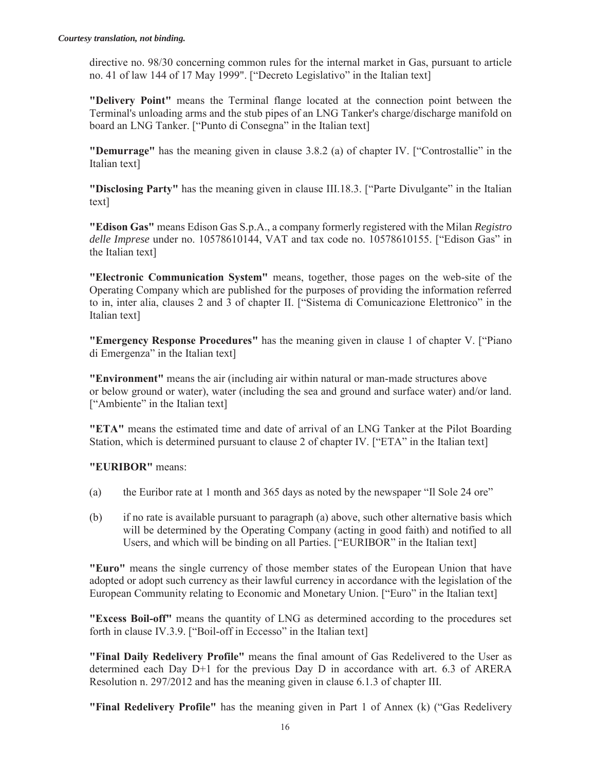directive no. 98/30 concerning common rules for the internal market in Gas, pursuant to article no. 41 of law 144 of 17 May 1999". ["Decreto Legislativo" in the Italian text]

**"Delivery Point"** means the Terminal flange located at the connection point between the Terminal's unloading arms and the stub pipes of an LNG Tanker's charge/discharge manifold on board an LNG Tanker. ["Punto di Consegna" in the Italian text]

**"Demurrage"** has the meaning given in clause 3.8.2 (a) of chapter IV. ["Controstallie" in the Italian text]

**"Disclosing Party"** has the meaning given in clause III.18.3. ["Parte Divulgante" in the Italian text]

**"Edison Gas"** means Edison Gas S.p.A., a company formerly registered with the Milan *Registro delle Imprese* under no. 10578610144, VAT and tax code no. 10578610155. ["Edison Gas" in the Italian text]

**"Electronic Communication System"** means, together, those pages on the web-site of the Operating Company which are published for the purposes of providing the information referred to in, inter alia, clauses 2 and 3 of chapter II. ["Sistema di Comunicazione Elettronico" in the Italian text]

**"Emergency Response Procedures"** has the meaning given in clause 1 of chapter V. ["Piano di Emergenza" in the Italian text]

**"Environment"** means the air (including air within natural or man-made structures above or below ground or water), water (including the sea and ground and surface water) and/or land. ["Ambiente" in the Italian text]

**"ETA"** means the estimated time and date of arrival of an LNG Tanker at the Pilot Boarding Station, which is determined pursuant to clause 2 of chapter IV. ["ETA" in the Italian text]

**"EURIBOR"** means:

- (a) the Euribor rate at 1 month and 365 days as noted by the newspaper "Il Sole 24 ore"
- (b) if no rate is available pursuant to paragraph (a) above, such other alternative basis which will be determined by the Operating Company (acting in good faith) and notified to all Users, and which will be binding on all Parties. ["EURIBOR" in the Italian text]

**"Euro"** means the single currency of those member states of the European Union that have adopted or adopt such currency as their lawful currency in accordance with the legislation of the European Community relating to Economic and Monetary Union. ["Euro" in the Italian text]

**"Excess Boil-off"** means the quantity of LNG as determined according to the procedures set forth in clause IV.3.9. ["Boil-off in Eccesso" in the Italian text]

**"Final Daily Redelivery Profile"** means the final amount of Gas Redelivered to the User as determined each Day D+1 for the previous Day D in accordance with art. 6.3 of ARERA Resolution n. 297/2012 and has the meaning given in clause 6.1.3 of chapter III.

**"Final Redelivery Profile"** has the meaning given in Part 1 of Annex (k) ("Gas Redelivery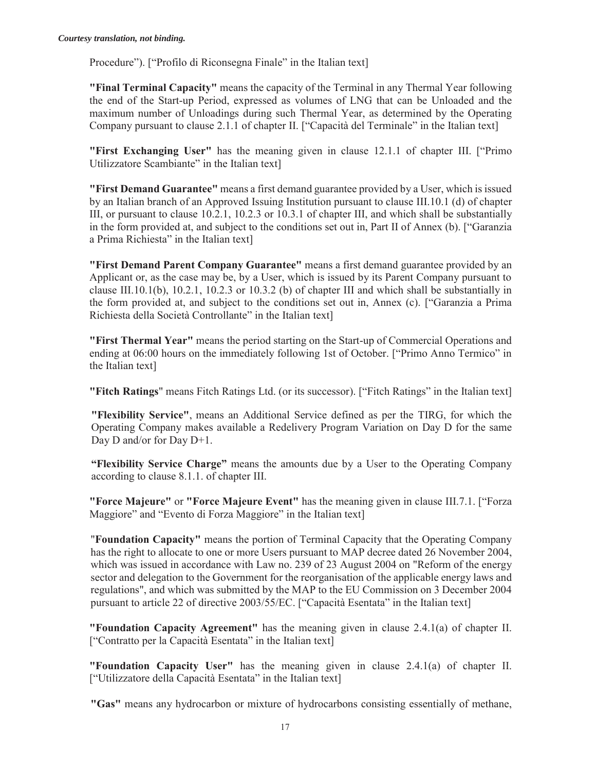Procedure"). ["Profilo di Riconsegna Finale" in the Italian text]

**"Final Terminal Capacity"** means the capacity of the Terminal in any Thermal Year following the end of the Start-up Period, expressed as volumes of LNG that can be Unloaded and the maximum number of Unloadings during such Thermal Year, as determined by the Operating Company pursuant to clause 2.1.1 of chapter II. ["Capacità del Terminale" in the Italian text]

**"First Exchanging User"** has the meaning given in clause 12.1.1 of chapter III. ["Primo Utilizzatore Scambiante" in the Italian text]

**"First Demand Guarantee"** means a first demand guarantee provided by a User, which is issued by an Italian branch of an Approved Issuing Institution pursuant to clause III.10.1 (d) of chapter III, or pursuant to clause 10.2.1, 10.2.3 or 10.3.1 of chapter III, and which shall be substantially in the form provided at, and subject to the conditions set out in, Part II of Annex (b). ["Garanzia a Prima Richiesta" in the Italian text]

**"First Demand Parent Company Guarantee"** means a first demand guarantee provided by an Applicant or, as the case may be, by a User, which is issued by its Parent Company pursuant to clause III.10.1(b), 10.2.1, 10.2.3 or 10.3.2 (b) of chapter III and which shall be substantially in the form provided at, and subject to the conditions set out in, Annex (c). ["Garanzia a Prima Richiesta della Società Controllante" in the Italian text]

**"First Thermal Year"** means the period starting on the Start-up of Commercial Operations and ending at 06:00 hours on the immediately following 1st of October. ["Primo Anno Termico" in the Italian text]

**"Fitch Ratings**" means Fitch Ratings Ltd. (or its successor). ["Fitch Ratings" in the Italian text]

**"Flexibility Service"**, means an Additional Service defined as per the TIRG, for which the Operating Company makes available a Redelivery Program Variation on Day D for the same Day D and/or for Day D+1.

**"Flexibility Service Charge"** means the amounts due by a User to the Operating Company according to clause 8.1.1. of chapter III.

**"Force Majeure"** or **"Force Majeure Event"** has the meaning given in clause III.7.1. ["Forza Maggiore" and "Evento di Forza Maggiore" in the Italian text]

"**Foundation Capacity"** means the portion of Terminal Capacity that the Operating Company has the right to allocate to one or more Users pursuant to MAP decree dated 26 November 2004, which was issued in accordance with Law no. 239 of 23 August 2004 on "Reform of the energy sector and delegation to the Government for the reorganisation of the applicable energy laws and regulations", and which was submitted by the MAP to the EU Commission on 3 December 2004 pursuant to article 22 of directive 2003/55/EC. ["Capacità Esentata" in the Italian text]

**"Foundation Capacity Agreement"** has the meaning given in clause 2.4.1(a) of chapter II. ["Contratto per la Capacità Esentata" in the Italian text]

**"Foundation Capacity User"** has the meaning given in clause 2.4.1(a) of chapter II. ["Utilizzatore della Capacità Esentata" in the Italian text]

**"Gas"** means any hydrocarbon or mixture of hydrocarbons consisting essentially of methane,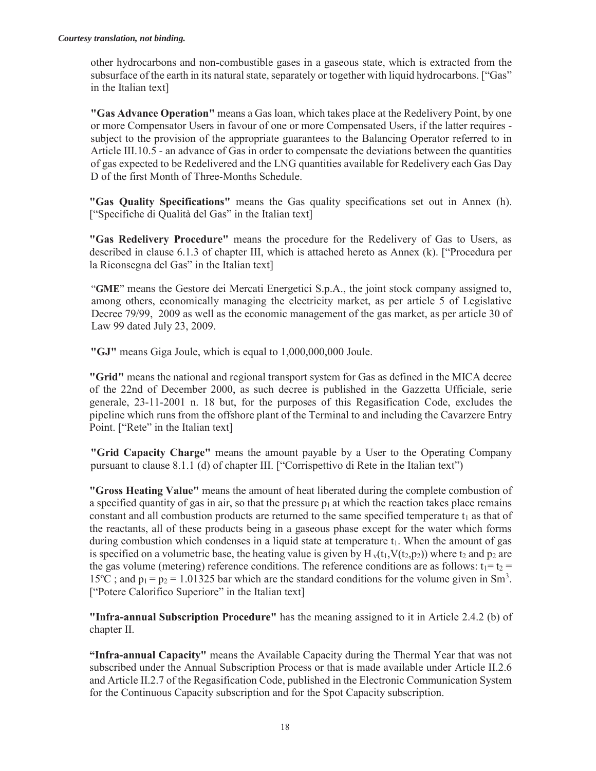other hydrocarbons and non-combustible gases in a gaseous state, which is extracted from the subsurface of the earth in its natural state, separately or together with liquid hydrocarbons. ["Gas" in the Italian text]

**"Gas Advance Operation"** means a Gas loan, which takes place at the Redelivery Point, by one or more Compensator Users in favour of one or more Compensated Users, if the latter requires subject to the provision of the appropriate guarantees to the Balancing Operator referred to in Article III.10.5 - an advance of Gas in order to compensate the deviations between the quantities of gas expected to be Redelivered and the LNG quantities available for Redelivery each Gas Day D of the first Month of Three-Months Schedule.

**"Gas Quality Specifications"** means the Gas quality specifications set out in Annex (h). ["Specifiche di Qualità del Gas" in the Italian text]

**"Gas Redelivery Procedure"** means the procedure for the Redelivery of Gas to Users, as described in clause 6.1.3 of chapter III, which is attached hereto as Annex (k). ["Procedura per la Riconsegna del Gas" in the Italian text]

"**GME**" means the Gestore dei Mercati Energetici S.p.A., the joint stock company assigned to, among others, economically managing the electricity market, as per article 5 of Legislative Decree 79/99, 2009 as well as the economic management of the gas market, as per article 30 of Law 99 dated July 23, 2009.

**"GJ"** means Giga Joule, which is equal to 1,000,000,000 Joule.

**"Grid"** means the national and regional transport system for Gas as defined in the MICA decree of the 22nd of December 2000, as such decree is published in the Gazzetta Ufficiale, serie generale, 23-11-2001 n. 18 but, for the purposes of this Regasification Code, excludes the pipeline which runs from the offshore plant of the Terminal to and including the Cavarzere Entry Point. ["Rete" in the Italian text]

**"Grid Capacity Charge"** means the amount payable by a User to the Operating Company pursuant to clause 8.1.1 (d) of chapter III. ["Corrispettivo di Rete in the Italian text")

**"Gross Heating Value"** means the amount of heat liberated during the complete combustion of a specified quantity of gas in air, so that the pressure  $p_1$  at which the reaction takes place remains constant and all combustion products are returned to the same specified temperature  $t_1$  as that of the reactants, all of these products being in a gaseous phase except for the water which forms during combustion which condenses in a liquid state at temperature  $t_1$ . When the amount of gas is specified on a volumetric base, the heating value is given by  $H_v(t_1, V(t_2, p_2))$  where  $t_2$  and  $p_2$  are the gas volume (metering) reference conditions. The reference conditions are as follows:  $t_1 = t_2$  = 15<sup>o</sup>C; and  $p_1 = p_2 = 1.01325$  bar which are the standard conditions for the volume given in Sm<sup>3</sup>. ["Potere Calorifico Superiore" in the Italian text]

**"Infra-annual Subscription Procedure"** has the meaning assigned to it in Article 2.4.2 (b) of chapter II.

**"Infra-annual Capacity"** means the Available Capacity during the Thermal Year that was not subscribed under the Annual Subscription Process or that is made available under Article II.2.6 and Article II.2.7 of the Regasification Code, published in the Electronic Communication System for the Continuous Capacity subscription and for the Spot Capacity subscription.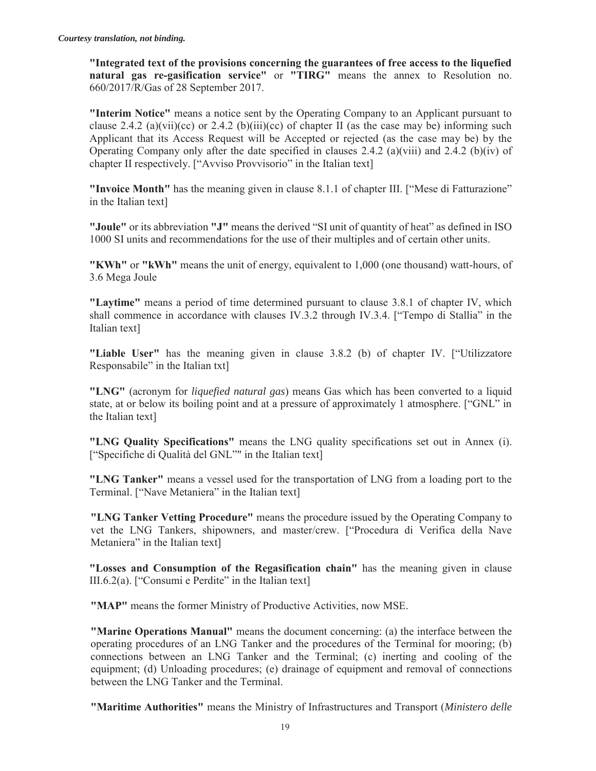**"Integrated text of the provisions concerning the guarantees of free access to the liquefied natural gas re-gasification service"** or **"TIRG"** means the annex to Resolution no. 660/2017/R/Gas of 28 September 2017.

**"Interim Notice"** means a notice sent by the Operating Company to an Applicant pursuant to clause 2.4.2 (a)(vii)(cc) or 2.4.2 (b)(iii)(cc) of chapter II (as the case may be) informing such Applicant that its Access Request will be Accepted or rejected (as the case may be) by the Operating Company only after the date specified in clauses 2.4.2 (a)(viii) and 2.4.2 (b)(iv) of chapter II respectively. ["Avviso Provvisorio" in the Italian text]

**"Invoice Month"** has the meaning given in clause 8.1.1 of chapter III. ["Mese di Fatturazione" in the Italian text]

**"Joule"** or its abbreviation **"J"** means the derived "SI unit of quantity of heat" as defined in ISO 1000 SI units and recommendations for the use of their multiples and of certain other units.

**"KWh"** or **"kWh"** means the unit of energy, equivalent to 1,000 (one thousand) watt-hours, of 3.6 Mega Joule

**"Laytime"** means a period of time determined pursuant to clause 3.8.1 of chapter IV, which shall commence in accordance with clauses IV.3.2 through IV.3.4. ["Tempo di Stallia" in the Italian text]

**"Liable User"** has the meaning given in clause 3.8.2 (b) of chapter IV. ["Utilizzatore Responsabile" in the Italian txt]

**"LNG"** (acronym for *liquefied natural gas*) means Gas which has been converted to a liquid state, at or below its boiling point and at a pressure of approximately 1 atmosphere. ["GNL" in the Italian text]

**"LNG Quality Specifications"** means the LNG quality specifications set out in Annex (i). ["Specifiche di Qualità del GNL"" in the Italian text]

**"LNG Tanker"** means a vessel used for the transportation of LNG from a loading port to the Terminal. ["Nave Metaniera" in the Italian text]

**"LNG Tanker Vetting Procedure"** means the procedure issued by the Operating Company to vet the LNG Tankers, shipowners, and master/crew. ["Procedura di Verifica della Nave Metaniera" in the Italian textl

**"Losses and Consumption of the Regasification chain"** has the meaning given in clause III.6.2(a). ["Consumi e Perdite" in the Italian text]

**"MAP"** means the former Ministry of Productive Activities, now MSE.

**"Marine Operations Manual"** means the document concerning: (a) the interface between the operating procedures of an LNG Tanker and the procedures of the Terminal for mooring; (b) connections between an LNG Tanker and the Terminal; (c) inerting and cooling of the equipment; (d) Unloading procedures; (e) drainage of equipment and removal of connections between the LNG Tanker and the Terminal.

**"Maritime Authorities"** means the Ministry of Infrastructures and Transport (*Ministero delle*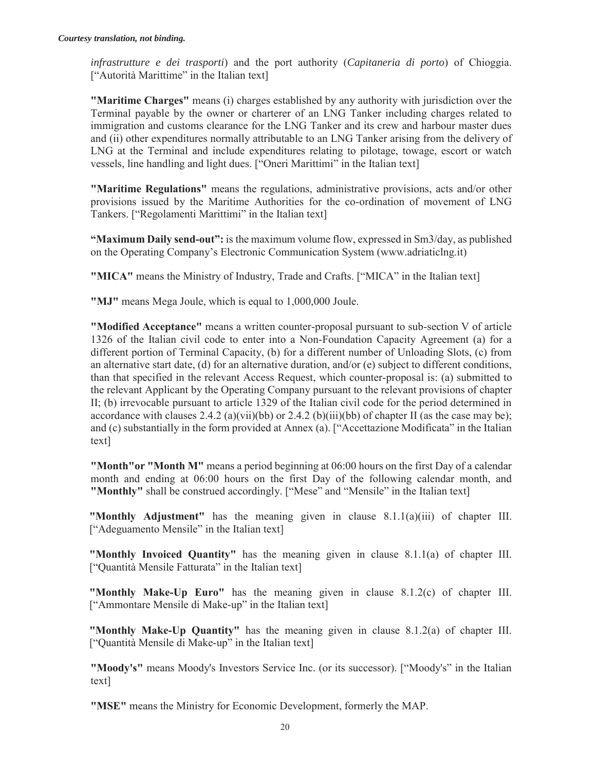*infrastrutture e dei trasporti*) and the port authority (*Capitaneria di porto*) of Chioggia. ["Autorità Marittime" in the Italian text]

**"Maritime Charges"** means (i) charges established by any authority with jurisdiction over the Terminal payable by the owner or charterer of an LNG Tanker including charges related to immigration and customs clearance for the LNG Tanker and its crew and harbour master dues and (ii) other expenditures normally attributable to an LNG Tanker arising from the delivery of LNG at the Terminal and include expenditures relating to pilotage, towage, escort or watch vessels, line handling and light dues. ["Oneri Marittimi" in the Italian text]

**"Maritime Regulations"** means the regulations, administrative provisions, acts and/or other provisions issued by the Maritime Authorities for the co-ordination of movement of LNG Tankers. ["Regolamenti Marittimi" in the Italian text]

**"Maximum Daily send-out":** is the maximum volume flow, expressed in Sm3/day, as published on the Operating Company's Electronic Communication System (www.adriaticlng.it)

**"MICA"** means the Ministry of Industry, Trade and Crafts. ["MICA" in the Italian text]

**"MJ"** means Mega Joule, which is equal to 1,000,000 Joule.

**"Modified Acceptance"** means a written counter-proposal pursuant to sub-section V of article 1326 of the Italian civil code to enter into a Non-Foundation Capacity Agreement (a) for a different portion of Terminal Capacity, (b) for a different number of Unloading Slots, (c) from an alternative start date, (d) for an alternative duration, and/or (e) subject to different conditions, than that specified in the relevant Access Request, which counter-proposal is: (a) submitted to the relevant Applicant by the Operating Company pursuant to the relevant provisions of chapter II; (b) irrevocable pursuant to article 1329 of the Italian civil code for the period determined in accordance with clauses  $2.4.2$  (a)(vii)(bb) or  $2.4.2$  (b)(iii)(bb) of chapter II (as the case may be); and (c) substantially in the form provided at Annex (a). ["Accettazione Modificata" in the Italian text]

**"Month"or "Month M"** means a period beginning at 06:00 hours on the first Day of a calendar month and ending at 06:00 hours on the first Day of the following calendar month, and **"Monthly"** shall be construed accordingly. ["Mese" and "Mensile" in the Italian text]

**"Monthly Adjustment"** has the meaning given in clause 8.1.1(a)(iii) of chapter III. ["Adeguamento Mensile" in the Italian text]

**"Monthly Invoiced Quantity"** has the meaning given in clause 8.1.1(a) of chapter III. ["Quantità Mensile Fatturata" in the Italian text]

**"Monthly Make-Up Euro"** has the meaning given in clause 8.1.2(c) of chapter III. ["Ammontare Mensile di Make-up" in the Italian text]

**"Monthly Make-Up Quantity"** has the meaning given in clause 8.1.2(a) of chapter III. ["Quantità Mensile di Make-up" in the Italian text]

**"Moody's"** means Moody's Investors Service Inc. (or its successor). ["Moody's" in the Italian text]

**"MSE"** means the Ministry for Economic Development, formerly the MAP.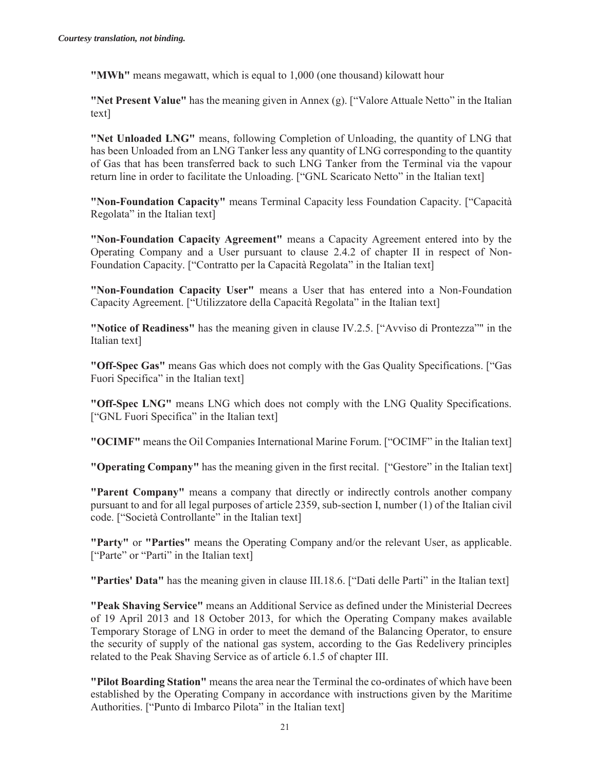**"MWh"** means megawatt, which is equal to 1,000 (one thousand) kilowatt hour

**"Net Present Value"** has the meaning given in Annex (g). ["Valore Attuale Netto" in the Italian text]

**"Net Unloaded LNG"** means, following Completion of Unloading, the quantity of LNG that has been Unloaded from an LNG Tanker less any quantity of LNG corresponding to the quantity of Gas that has been transferred back to such LNG Tanker from the Terminal via the vapour return line in order to facilitate the Unloading. ["GNL Scaricato Netto" in the Italian text]

**"Non-Foundation Capacity"** means Terminal Capacity less Foundation Capacity. ["Capacità Regolata" in the Italian text]

**"Non-Foundation Capacity Agreement"** means a Capacity Agreement entered into by the Operating Company and a User pursuant to clause 2.4.2 of chapter II in respect of Non-Foundation Capacity. ["Contratto per la Capacità Regolata" in the Italian text]

**"Non-Foundation Capacity User"** means a User that has entered into a Non-Foundation Capacity Agreement. ["Utilizzatore della Capacità Regolata" in the Italian text]

**"Notice of Readiness"** has the meaning given in clause IV.2.5. ["Avviso di Prontezza"" in the Italian text]

**"Off-Spec Gas"** means Gas which does not comply with the Gas Quality Specifications. ["Gas Fuori Specifica" in the Italian text]

**"Off-Spec LNG"** means LNG which does not comply with the LNG Quality Specifications. ["GNL Fuori Specifica" in the Italian text]

**"OCIMF"** means the Oil Companies International Marine Forum. ["OCIMF" in the Italian text]

**"Operating Company"** has the meaning given in the first recital. ["Gestore" in the Italian text]

**"Parent Company"** means a company that directly or indirectly controls another company pursuant to and for all legal purposes of article 2359, sub-section I, number (1) of the Italian civil code. ["Società Controllante" in the Italian text]

**"Party"** or **"Parties"** means the Operating Company and/or the relevant User, as applicable. ["Parte" or "Parti" in the Italian text]

**"Parties' Data"** has the meaning given in clause III.18.6. ["Dati delle Parti" in the Italian text]

**"Peak Shaving Service"** means an Additional Service as defined under the Ministerial Decrees of 19 April 2013 and 18 October 2013, for which the Operating Company makes available Temporary Storage of LNG in order to meet the demand of the Balancing Operator, to ensure the security of supply of the national gas system, according to the Gas Redelivery principles related to the Peak Shaving Service as of article 6.1.5 of chapter III.

**"Pilot Boarding Station"** means the area near the Terminal the co-ordinates of which have been established by the Operating Company in accordance with instructions given by the Maritime Authorities. ["Punto di Imbarco Pilota" in the Italian text]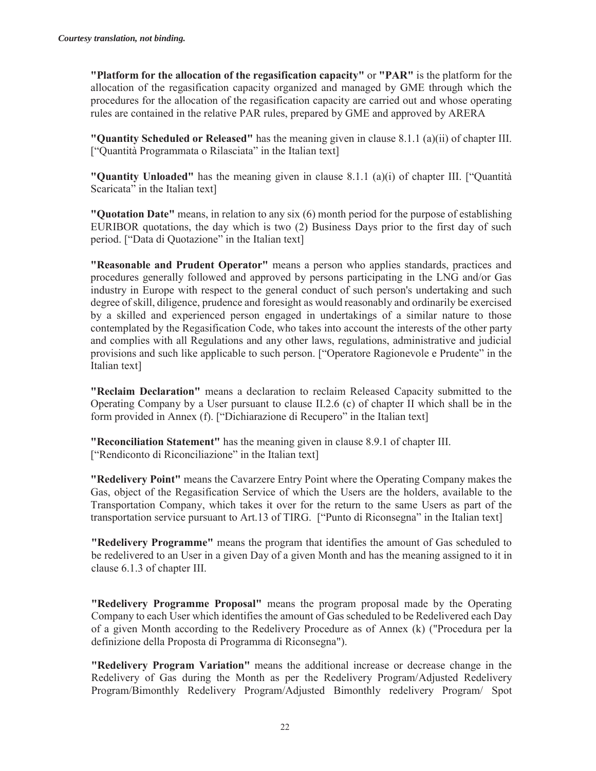**"Platform for the allocation of the regasification capacity"** or **"PAR"** is the platform for the allocation of the regasification capacity organized and managed by GME through which the procedures for the allocation of the regasification capacity are carried out and whose operating rules are contained in the relative PAR rules, prepared by GME and approved by ARERA

**"Quantity Scheduled or Released"** has the meaning given in clause 8.1.1 (a)(ii) of chapter III. ["Quantità Programmata o Rilasciata" in the Italian text]

**"Quantity Unloaded"** has the meaning given in clause 8.1.1 (a)(i) of chapter III. ["Quantità Scaricata" in the Italian text]

**"Quotation Date"** means, in relation to any six (6) month period for the purpose of establishing EURIBOR quotations, the day which is two (2) Business Days prior to the first day of such period. ["Data di Quotazione" in the Italian text]

**"Reasonable and Prudent Operator"** means a person who applies standards, practices and procedures generally followed and approved by persons participating in the LNG and/or Gas industry in Europe with respect to the general conduct of such person's undertaking and such degree of skill, diligence, prudence and foresight as would reasonably and ordinarily be exercised by a skilled and experienced person engaged in undertakings of a similar nature to those contemplated by the Regasification Code, who takes into account the interests of the other party and complies with all Regulations and any other laws, regulations, administrative and judicial provisions and such like applicable to such person. ["Operatore Ragionevole e Prudente" in the Italian text]

**"Reclaim Declaration"** means a declaration to reclaim Released Capacity submitted to the Operating Company by a User pursuant to clause II.2.6 (c) of chapter II which shall be in the form provided in Annex (f). ["Dichiarazione di Recupero" in the Italian text]

**"Reconciliation Statement"** has the meaning given in clause 8.9.1 of chapter III. ["Rendiconto di Riconciliazione" in the Italian text]

**"Redelivery Point"** means the Cavarzere Entry Point where the Operating Company makes the Gas, object of the Regasification Service of which the Users are the holders, available to the Transportation Company, which takes it over for the return to the same Users as part of the transportation service pursuant to Art.13 of TIRG. ["Punto di Riconsegna" in the Italian text]

**"Redelivery Programme"** means the program that identifies the amount of Gas scheduled to be redelivered to an User in a given Day of a given Month and has the meaning assigned to it in clause 6.1.3 of chapter III.

**"Redelivery Programme Proposal"** means the program proposal made by the Operating Company to each User which identifies the amount of Gas scheduled to be Redelivered each Day of a given Month according to the Redelivery Procedure as of Annex (k) ("Procedura per la definizione della Proposta di Programma di Riconsegna").

**"Redelivery Program Variation"** means the additional increase or decrease change in the Redelivery of Gas during the Month as per the Redelivery Program/Adjusted Redelivery Program/Bimonthly Redelivery Program/Adjusted Bimonthly redelivery Program/ Spot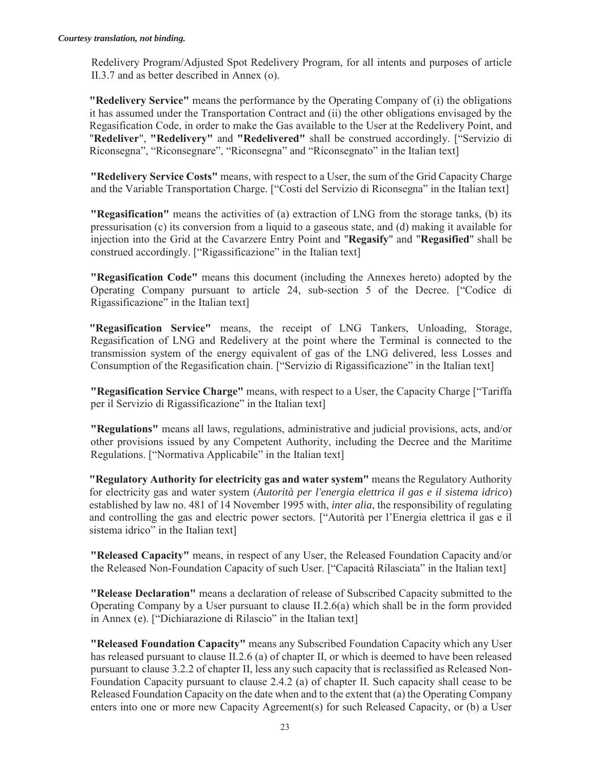Redelivery Program/Adjusted Spot Redelivery Program, for all intents and purposes of article II.3.7 and as better described in Annex (o).

**"Redelivery Service"** means the performance by the Operating Company of (i) the obligations it has assumed under the Transportation Contract and (ii) the other obligations envisaged by the Regasification Code, in order to make the Gas available to the User at the Redelivery Point, and "**Redeliver**", **"Redelivery"** and **"Redelivered"** shall be construed accordingly. ["Servizio di Riconsegna", "Riconsegnare", "Riconsegna" and "Riconsegnato" in the Italian text]

**"Redelivery Service Costs"** means, with respect to a User, the sum of the Grid Capacity Charge and the Variable Transportation Charge. ["Costi del Servizio di Riconsegna" in the Italian text]

**"Regasification"** means the activities of (a) extraction of LNG from the storage tanks, (b) its pressurisation (c) its conversion from a liquid to a gaseous state, and (d) making it available for injection into the Grid at the Cavarzere Entry Point and "**Regasify**" and "**Regasified**" shall be construed accordingly. ["Rigassificazione" in the Italian text]

**"Regasification Code"** means this document (including the Annexes hereto) adopted by the Operating Company pursuant to article 24, sub-section 5 of the Decree. ["Codice di Rigassificazione" in the Italian text]

**"Regasification Service"** means, the receipt of LNG Tankers, Unloading, Storage, Regasification of LNG and Redelivery at the point where the Terminal is connected to the transmission system of the energy equivalent of gas of the LNG delivered, less Losses and Consumption of the Regasification chain. ["Servizio di Rigassificazione" in the Italian text]

**"Regasification Service Charge"** means, with respect to a User, the Capacity Charge ["Tariffa per il Servizio di Rigassificazione" in the Italian text]

**"Regulations"** means all laws, regulations, administrative and judicial provisions, acts, and/or other provisions issued by any Competent Authority, including the Decree and the Maritime Regulations. ["Normativa Applicabile" in the Italian text]

**"Regulatory Authority for electricity gas and water system"** means the Regulatory Authority for electricity gas and water system (*Autorità per l'energia elettrica il gas e il sistema idrico*) established by law no. 481 of 14 November 1995 with, *inter alia*, the responsibility of regulating and controlling the gas and electric power sectors. ["Autorità per l'Energia elettrica il gas e il sistema idrico" in the Italian text]

**"Released Capacity"** means, in respect of any User, the Released Foundation Capacity and/or the Released Non-Foundation Capacity of such User. ["Capacità Rilasciata" in the Italian text]

**"Release Declaration"** means a declaration of release of Subscribed Capacity submitted to the Operating Company by a User pursuant to clause II.2.6(a) which shall be in the form provided in Annex (e). ["Dichiarazione di Rilascio" in the Italian text]

**"Released Foundation Capacity"** means any Subscribed Foundation Capacity which any User has released pursuant to clause II.2.6 (a) of chapter II, or which is deemed to have been released pursuant to clause 3.2.2 of chapter II, less any such capacity that is reclassified as Released Non-Foundation Capacity pursuant to clause 2.4.2 (a) of chapter II. Such capacity shall cease to be Released Foundation Capacity on the date when and to the extent that (a) the Operating Company enters into one or more new Capacity Agreement(s) for such Released Capacity, or (b) a User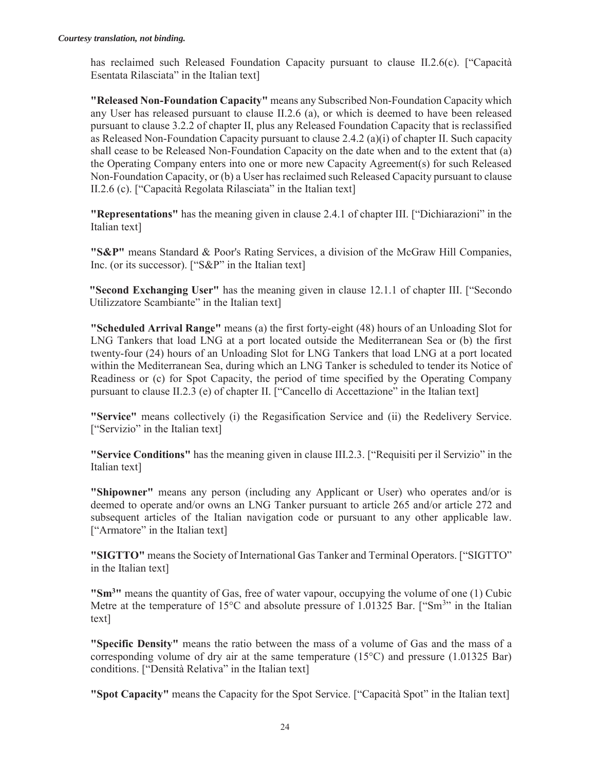has reclaimed such Released Foundation Capacity pursuant to clause II.2.6(c). ["Capacità Esentata Rilasciata" in the Italian text]

**"Released Non-Foundation Capacity"** means any Subscribed Non-Foundation Capacity which any User has released pursuant to clause II.2.6 (a), or which is deemed to have been released pursuant to clause 3.2.2 of chapter II, plus any Released Foundation Capacity that is reclassified as Released Non-Foundation Capacity pursuant to clause 2.4.2 (a)(i) of chapter II. Such capacity shall cease to be Released Non-Foundation Capacity on the date when and to the extent that (a) the Operating Company enters into one or more new Capacity Agreement(s) for such Released Non-Foundation Capacity, or (b) a User has reclaimed such Released Capacity pursuant to clause II.2.6 (c). ["Capacità Regolata Rilasciata" in the Italian text]

**"Representations"** has the meaning given in clause 2.4.1 of chapter III. ["Dichiarazioni" in the Italian text]

**"S&P"** means Standard & Poor's Rating Services, a division of the McGraw Hill Companies, Inc. (or its successor). ["S&P" in the Italian text]

**"Second Exchanging User"** has the meaning given in clause 12.1.1 of chapter III. ["Secondo Utilizzatore Scambiante" in the Italian text]

**"Scheduled Arrival Range"** means (a) the first forty-eight (48) hours of an Unloading Slot for LNG Tankers that load LNG at a port located outside the Mediterranean Sea or (b) the first twenty-four (24) hours of an Unloading Slot for LNG Tankers that load LNG at a port located within the Mediterranean Sea, during which an LNG Tanker is scheduled to tender its Notice of Readiness or (c) for Spot Capacity, the period of time specified by the Operating Company pursuant to clause II.2.3 (e) of chapter II. ["Cancello di Accettazione" in the Italian text]

**"Service"** means collectively (i) the Regasification Service and (ii) the Redelivery Service. ["Servizio" in the Italian text]

**"Service Conditions"** has the meaning given in clause III.2.3. ["Requisiti per il Servizio" in the Italian text]

**"Shipowner"** means any person (including any Applicant or User) who operates and/or is deemed to operate and/or owns an LNG Tanker pursuant to article 265 and/or article 272 and subsequent articles of the Italian navigation code or pursuant to any other applicable law. ["Armatore" in the Italian text]

**"SIGTTO"** means the Society of International Gas Tanker and Terminal Operators. ["SIGTTO" in the Italian text]

**"Sm3"** means the quantity of Gas, free of water vapour, occupying the volume of one (1) Cubic Metre at the temperature of 15 $\degree$ C and absolute pressure of 1.01325 Bar. ["Sm<sup>3</sup>" in the Italian text]

**"Specific Density"** means the ratio between the mass of a volume of Gas and the mass of a corresponding volume of dry air at the same temperature  $(15^{\circ}C)$  and pressure  $(1.01325 \text{ Bar})$ conditions. ["Densità Relativa" in the Italian text]

**"Spot Capacity"** means the Capacity for the Spot Service. ["Capacità Spot" in the Italian text]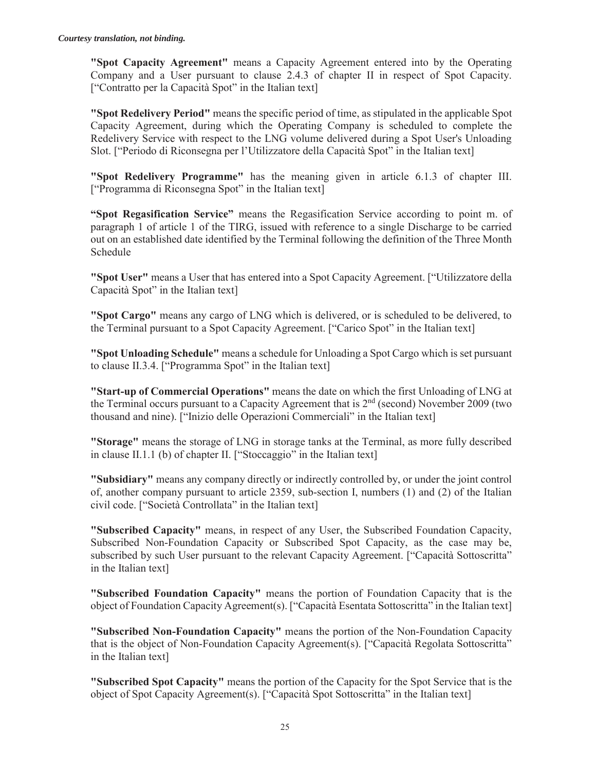**"Spot Capacity Agreement"** means a Capacity Agreement entered into by the Operating Company and a User pursuant to clause 2.4.3 of chapter II in respect of Spot Capacity. ["Contratto per la Capacità Spot" in the Italian text]

**"Spot Redelivery Period"** means the specific period of time, as stipulated in the applicable Spot Capacity Agreement, during which the Operating Company is scheduled to complete the Redelivery Service with respect to the LNG volume delivered during a Spot User's Unloading Slot. ["Periodo di Riconsegna per l'Utilizzatore della Capacità Spot" in the Italian text]

**"Spot Redelivery Programme"** has the meaning given in article 6.1.3 of chapter III. ["Programma di Riconsegna Spot" in the Italian text]

**"Spot Regasification Service"** means the Regasification Service according to point m. of paragraph 1 of article 1 of the TIRG, issued with reference to a single Discharge to be carried out on an established date identified by the Terminal following the definition of the Three Month Schedule

**"Spot User"** means a User that has entered into a Spot Capacity Agreement. ["Utilizzatore della Capacità Spot" in the Italian text]

**"Spot Cargo"** means any cargo of LNG which is delivered, or is scheduled to be delivered, to the Terminal pursuant to a Spot Capacity Agreement. ["Carico Spot" in the Italian text]

**"Spot Unloading Schedule"** means a schedule for Unloading a Spot Cargo which is set pursuant to clause II.3.4. ["Programma Spot" in the Italian text]

**"Start-up of Commercial Operations"** means the date on which the first Unloading of LNG at the Terminal occurs pursuant to a Capacity Agreement that is  $2<sup>nd</sup>$  (second) November 2009 (two thousand and nine). ["Inizio delle Operazioni Commerciali" in the Italian text]

**"Storage"** means the storage of LNG in storage tanks at the Terminal, as more fully described in clause II.1.1 (b) of chapter II. ["Stoccaggio" in the Italian text]

**"Subsidiary"** means any company directly or indirectly controlled by, or under the joint control of, another company pursuant to article 2359, sub-section I, numbers (1) and (2) of the Italian civil code. ["Società Controllata" in the Italian text]

**"Subscribed Capacity"** means, in respect of any User, the Subscribed Foundation Capacity, Subscribed Non-Foundation Capacity or Subscribed Spot Capacity, as the case may be, subscribed by such User pursuant to the relevant Capacity Agreement. ["Capacità Sottoscritta" in the Italian text]

**"Subscribed Foundation Capacity"** means the portion of Foundation Capacity that is the object of Foundation Capacity Agreement(s). ["Capacità Esentata Sottoscritta" in the Italian text]

**"Subscribed Non-Foundation Capacity"** means the portion of the Non-Foundation Capacity that is the object of Non-Foundation Capacity Agreement(s). ["Capacità Regolata Sottoscritta" in the Italian text]

**"Subscribed Spot Capacity"** means the portion of the Capacity for the Spot Service that is the object of Spot Capacity Agreement(s). ["Capacità Spot Sottoscritta" in the Italian text]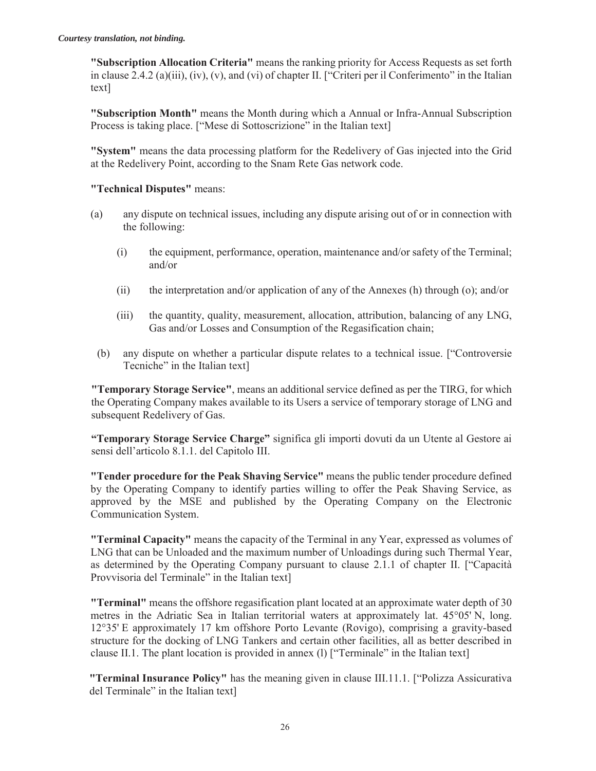**"Subscription Allocation Criteria"** means the ranking priority for Access Requests as set forth in clause 2.4.2 (a)(iii), (iv), (v), and (vi) of chapter II. ["Criteri per il Conferimento" in the Italian text]

**"Subscription Month"** means the Month during which a Annual or Infra-Annual Subscription Process is taking place. ["Mese di Sottoscrizione" in the Italian text]

**"System"** means the data processing platform for the Redelivery of Gas injected into the Grid at the Redelivery Point, according to the Snam Rete Gas network code.

#### **"Technical Disputes"** means:

- (a) any dispute on technical issues, including any dispute arising out of or in connection with the following:
	- (i) the equipment, performance, operation, maintenance and/or safety of the Terminal; and/or
	- (ii) the interpretation and/or application of any of the Annexes (h) through (o); and/or
	- (iii) the quantity, quality, measurement, allocation, attribution, balancing of any LNG, Gas and/or Losses and Consumption of the Regasification chain;
	- (b) any dispute on whether a particular dispute relates to a technical issue. ["Controversie Tecniche" in the Italian text]

**"Temporary Storage Service"**, means an additional service defined as per the TIRG, for which the Operating Company makes available to its Users a service of temporary storage of LNG and subsequent Redelivery of Gas.

**"Temporary Storage Service Charge"** significa gli importi dovuti da un Utente al Gestore ai sensi dell'articolo 8.1.1. del Capitolo III.

**"Tender procedure for the Peak Shaving Service"** means the public tender procedure defined by the Operating Company to identify parties willing to offer the Peak Shaving Service, as approved by the MSE and published by the Operating Company on the Electronic Communication System.

**"Terminal Capacity"** means the capacity of the Terminal in any Year, expressed as volumes of LNG that can be Unloaded and the maximum number of Unloadings during such Thermal Year, as determined by the Operating Company pursuant to clause 2.1.1 of chapter II. ["Capacità Provvisoria del Terminale" in the Italian text]

**"Terminal"** means the offshore regasification plant located at an approximate water depth of 30 metres in the Adriatic Sea in Italian territorial waters at approximately lat. 45°05' N, long. 12°35' E approximately 17 km offshore Porto Levante (Rovigo), comprising a gravity-based structure for the docking of LNG Tankers and certain other facilities, all as better described in clause II.1. The plant location is provided in annex (l) ["Terminale" in the Italian text]

**"Terminal Insurance Policy"** has the meaning given in clause III.11.1. ["Polizza Assicurativa del Terminale" in the Italian text]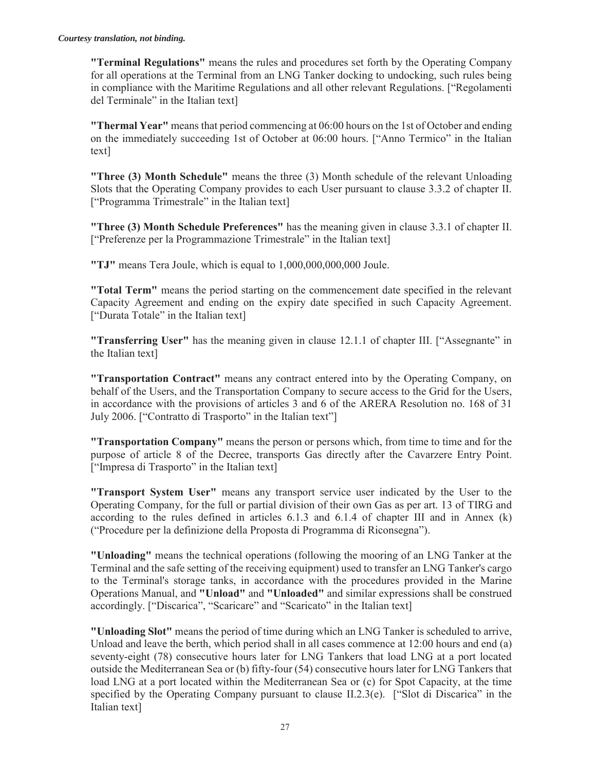**"Terminal Regulations"** means the rules and procedures set forth by the Operating Company for all operations at the Terminal from an LNG Tanker docking to undocking, such rules being in compliance with the Maritime Regulations and all other relevant Regulations. ["Regolamenti del Terminale" in the Italian text]

**"Thermal Year"** means that period commencing at 06:00 hours on the 1st of October and ending on the immediately succeeding 1st of October at 06:00 hours. ["Anno Termico" in the Italian text]

**"Three (3) Month Schedule"** means the three (3) Month schedule of the relevant Unloading Slots that the Operating Company provides to each User pursuant to clause 3.3.2 of chapter II. ["Programma Trimestrale" in the Italian text]

**"Three (3) Month Schedule Preferences"** has the meaning given in clause 3.3.1 of chapter II. ["Preferenze per la Programmazione Trimestrale" in the Italian text]

**"TJ"** means Tera Joule, which is equal to 1,000,000,000,000 Joule.

**"Total Term"** means the period starting on the commencement date specified in the relevant Capacity Agreement and ending on the expiry date specified in such Capacity Agreement. ["Durata Totale" in the Italian text]

**"Transferring User"** has the meaning given in clause 12.1.1 of chapter III. ["Assegnante" in the Italian text]

**"Transportation Contract"** means any contract entered into by the Operating Company, on behalf of the Users, and the Transportation Company to secure access to the Grid for the Users, in accordance with the provisions of articles 3 and 6 of the ARERA Resolution no. 168 of 31 July 2006. ["Contratto di Trasporto" in the Italian text"]

**"Transportation Company"** means the person or persons which, from time to time and for the purpose of article 8 of the Decree, transports Gas directly after the Cavarzere Entry Point. ["Impresa di Trasporto" in the Italian text]

**"Transport System User"** means any transport service user indicated by the User to the Operating Company, for the full or partial division of their own Gas as per art. 13 of TIRG and according to the rules defined in articles 6.1.3 and 6.1.4 of chapter III and in Annex (k) ("Procedure per la definizione della Proposta di Programma di Riconsegna").

**"Unloading"** means the technical operations (following the mooring of an LNG Tanker at the Terminal and the safe setting of the receiving equipment) used to transfer an LNG Tanker's cargo to the Terminal's storage tanks, in accordance with the procedures provided in the Marine Operations Manual, and **"Unload"** and **"Unloaded"** and similar expressions shall be construed accordingly. ["Discarica", "Scaricare" and "Scaricato" in the Italian text]

**"Unloading Slot"** means the period of time during which an LNG Tanker is scheduled to arrive, Unload and leave the berth, which period shall in all cases commence at 12:00 hours and end (a) seventy-eight (78) consecutive hours later for LNG Tankers that load LNG at a port located outside the Mediterranean Sea or (b) fifty-four (54) consecutive hours later for LNG Tankers that load LNG at a port located within the Mediterranean Sea or (c) for Spot Capacity, at the time specified by the Operating Company pursuant to clause II.2.3(e). ["Slot di Discarica" in the Italian text]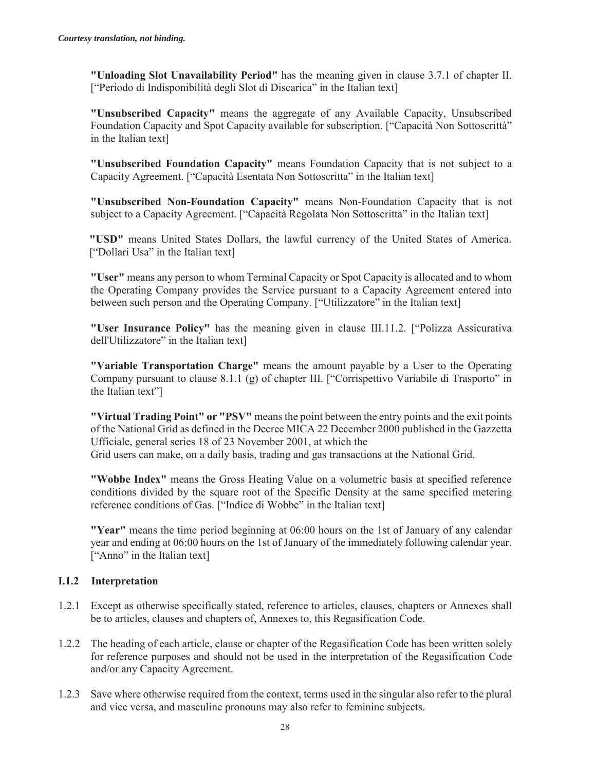**"Unloading Slot Unavailability Period"** has the meaning given in clause 3.7.1 of chapter II. ["Periodo di Indisponibilità degli Slot di Discarica" in the Italian text]

**"Unsubscribed Capacity"** means the aggregate of any Available Capacity, Unsubscribed Foundation Capacity and Spot Capacity available for subscription. ["Capacità Non Sottoscrittà" in the Italian text]

**"Unsubscribed Foundation Capacity"** means Foundation Capacity that is not subject to a Capacity Agreement. ["Capacità Esentata Non Sottoscritta" in the Italian text]

**"Unsubscribed Non-Foundation Capacity"** means Non-Foundation Capacity that is not subject to a Capacity Agreement. ["Capacità Regolata Non Sottoscritta" in the Italian text]

**"USD"** means United States Dollars, the lawful currency of the United States of America. ["Dollari Usa" in the Italian text]

**"User"** means any person to whom Terminal Capacity or Spot Capacity is allocated and to whom the Operating Company provides the Service pursuant to a Capacity Agreement entered into between such person and the Operating Company. ["Utilizzatore" in the Italian text]

**"User Insurance Policy"** has the meaning given in clause III.11.2. ["Polizza Assicurativa dell'Utilizzatore" in the Italian text]

**"Variable Transportation Charge"** means the amount payable by a User to the Operating Company pursuant to clause 8.1.1 (g) of chapter III. ["Corrispettivo Variabile di Trasporto" in the Italian text"]

**"Virtual Trading Point" or "PSV"** means the point between the entry points and the exit points of the National Grid as defined in the Decree MICA 22 December 2000 published in the Gazzetta Ufficiale, general series 18 of 23 November 2001, at which the Grid users can make, on a daily basis, trading and gas transactions at the National Grid.

**"Wobbe Index"** means the Gross Heating Value on a volumetric basis at specified reference conditions divided by the square root of the Specific Density at the same specified metering reference conditions of Gas. ["Indice di Wobbe" in the Italian text]

**"Year"** means the time period beginning at 06:00 hours on the 1st of January of any calendar year and ending at 06:00 hours on the 1st of January of the immediately following calendar year. ["Anno" in the Italian text]

#### **I.1.2 Interpretation**

- 1.2.1 Except as otherwise specifically stated, reference to articles, clauses, chapters or Annexes shall be to articles, clauses and chapters of, Annexes to, this Regasification Code.
- 1.2.2 The heading of each article, clause or chapter of the Regasification Code has been written solely for reference purposes and should not be used in the interpretation of the Regasification Code and/or any Capacity Agreement.
- 1.2.3 Save where otherwise required from the context, terms used in the singular also refer to the plural and vice versa, and masculine pronouns may also refer to feminine subjects.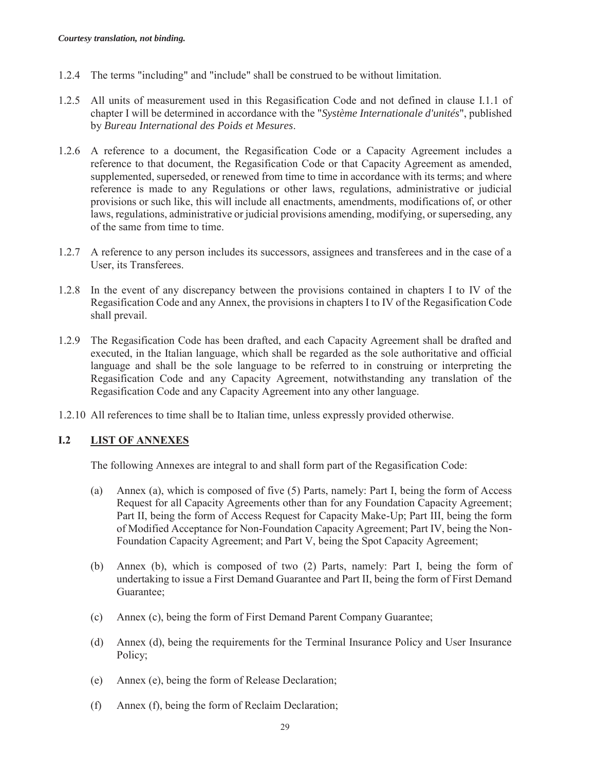- 1.2.4 The terms "including" and "include" shall be construed to be without limitation.
- 1.2.5 All units of measurement used in this Regasification Code and not defined in clause I.1.1 of chapter I will be determined in accordance with the "*Système Internationale d'unités*", published by *Bureau International des Poids et Mesures*.
- 1.2.6 A reference to a document, the Regasification Code or a Capacity Agreement includes a reference to that document, the Regasification Code or that Capacity Agreement as amended, supplemented, superseded, or renewed from time to time in accordance with its terms; and where reference is made to any Regulations or other laws, regulations, administrative or judicial provisions or such like, this will include all enactments, amendments, modifications of, or other laws, regulations, administrative or judicial provisions amending, modifying, or superseding, any of the same from time to time.
- 1.2.7 A reference to any person includes its successors, assignees and transferees and in the case of a User, its Transferees.
- 1.2.8 In the event of any discrepancy between the provisions contained in chapters I to IV of the Regasification Code and any Annex, the provisions in chapters I to IV of the Regasification Code shall prevail.
- 1.2.9 The Regasification Code has been drafted, and each Capacity Agreement shall be drafted and executed, in the Italian language, which shall be regarded as the sole authoritative and official language and shall be the sole language to be referred to in construing or interpreting the Regasification Code and any Capacity Agreement, notwithstanding any translation of the Regasification Code and any Capacity Agreement into any other language.
- 1.2.10 All references to time shall be to Italian time, unless expressly provided otherwise.

#### **I.2 LIST OF ANNEXES**

The following Annexes are integral to and shall form part of the Regasification Code:

- (a) Annex (a), which is composed of five (5) Parts, namely: Part I, being the form of Access Request for all Capacity Agreements other than for any Foundation Capacity Agreement; Part II, being the form of Access Request for Capacity Make-Up; Part III, being the form of Modified Acceptance for Non-Foundation Capacity Agreement; Part IV, being the Non-Foundation Capacity Agreement; and Part V, being the Spot Capacity Agreement;
- (b) Annex (b), which is composed of two (2) Parts, namely: Part I, being the form of undertaking to issue a First Demand Guarantee and Part II, being the form of First Demand Guarantee;
- (c) Annex (c), being the form of First Demand Parent Company Guarantee;
- (d) Annex (d), being the requirements for the Terminal Insurance Policy and User Insurance Policy;
- (e) Annex (e), being the form of Release Declaration;
- (f) Annex (f), being the form of Reclaim Declaration;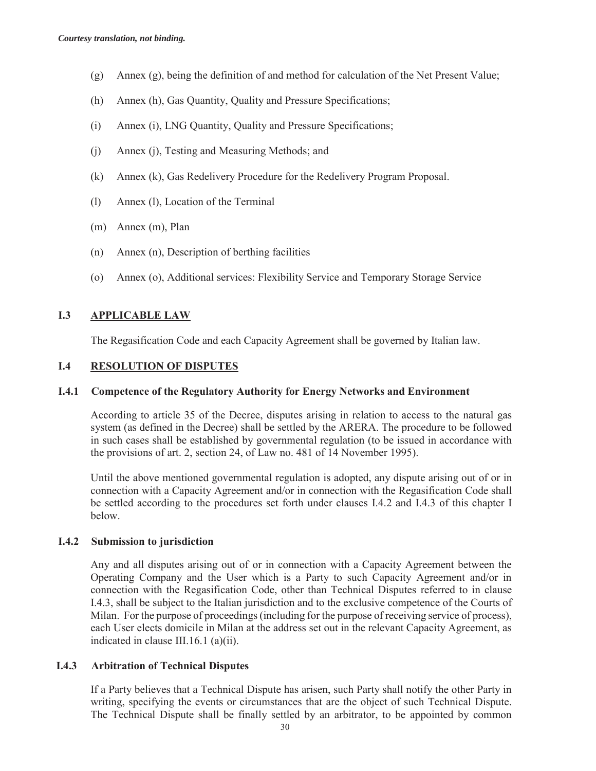- (g) Annex (g), being the definition of and method for calculation of the Net Present Value;
- (h) Annex (h), Gas Quantity, Quality and Pressure Specifications;
- (i) Annex (i), LNG Quantity, Quality and Pressure Specifications;
- (j) Annex (j), Testing and Measuring Methods; and
- (k) Annex (k), Gas Redelivery Procedure for the Redelivery Program Proposal.
- (l) Annex (l), Location of the Terminal
- (m) Annex (m), Plan
- (n) Annex (n), Description of berthing facilities
- (o) Annex (o), Additional services: Flexibility Service and Temporary Storage Service

## **I.3 APPLICABLE LAW**

The Regasification Code and each Capacity Agreement shall be governed by Italian law.

#### **I.4 RESOLUTION OF DISPUTES**

#### **I.4.1 Competence of the Regulatory Authority for Energy Networks and Environment**

According to article 35 of the Decree, disputes arising in relation to access to the natural gas system (as defined in the Decree) shall be settled by the ARERA. The procedure to be followed in such cases shall be established by governmental regulation (to be issued in accordance with the provisions of art. 2, section 24, of Law no. 481 of 14 November 1995).

Until the above mentioned governmental regulation is adopted, any dispute arising out of or in connection with a Capacity Agreement and/or in connection with the Regasification Code shall be settled according to the procedures set forth under clauses I.4.2 and I.4.3 of this chapter I below.

#### **I.4.2 Submission to jurisdiction**

Any and all disputes arising out of or in connection with a Capacity Agreement between the Operating Company and the User which is a Party to such Capacity Agreement and/or in connection with the Regasification Code, other than Technical Disputes referred to in clause I.4.3, shall be subject to the Italian jurisdiction and to the exclusive competence of the Courts of Milan. For the purpose of proceedings (including for the purpose of receiving service of process), each User elects domicile in Milan at the address set out in the relevant Capacity Agreement, as indicated in clause III.16.1 (a)(ii).

#### **I.4.3 Arbitration of Technical Disputes**

If a Party believes that a Technical Dispute has arisen, such Party shall notify the other Party in writing, specifying the events or circumstances that are the object of such Technical Dispute. The Technical Dispute shall be finally settled by an arbitrator, to be appointed by common